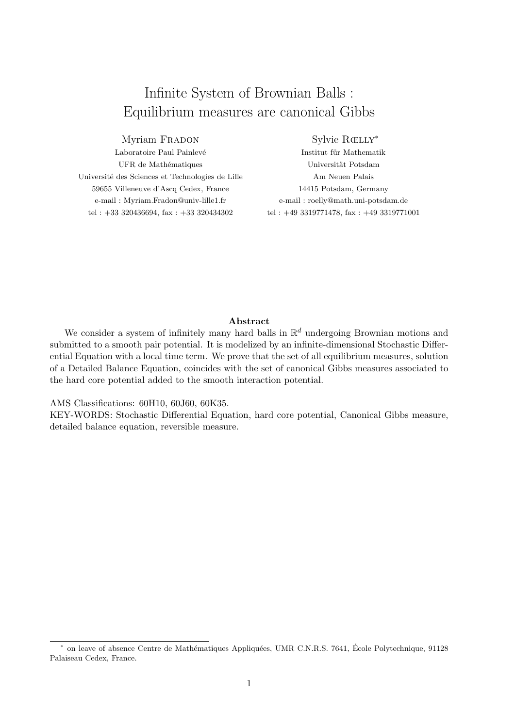# Infinite System of Brownian Balls : Equilibrium measures are canonical Gibbs

## Myriam FRADON

Laboratoire Paul Painlevé UFR de Mathématiques Université des Sciences et Technologies de Lille 59655 Villeneuve d'Ascq Cedex, France e-mail : Myriam.Fradon@univ-lille1.fr tel : +33 320436694, fax : +33 320434302

## Sylvie Rœlly<sup>∗</sup>

Institut für Mathematik Universität Potsdam Am Neuen Palais 14415 Potsdam, Germany e-mail : roelly@math.uni-potsdam.de tel : +49 3319771478, fax : +49 3319771001

## Abstract

We consider a system of infinitely many hard balls in  $\mathbb{R}^d$  undergoing Brownian motions and submitted to a smooth pair potential. It is modelized by an infinite-dimensional Stochastic Differential Equation with a local time term. We prove that the set of all equilibrium measures, solution of a Detailed Balance Equation, coincides with the set of canonical Gibbs measures associated to the hard core potential added to the smooth interaction potential.

AMS Classifications: 60H10, 60J60, 60K35.

KEY-WORDS: Stochastic Differential Equation, hard core potential, Canonical Gibbs measure, detailed balance equation, reversible measure.

<sup>\*</sup> on leave of absence Centre de Mathématiques Appliquées, UMR C.N.R.S. 7641, École Polytechnique, 91128 Palaiseau Cedex, France.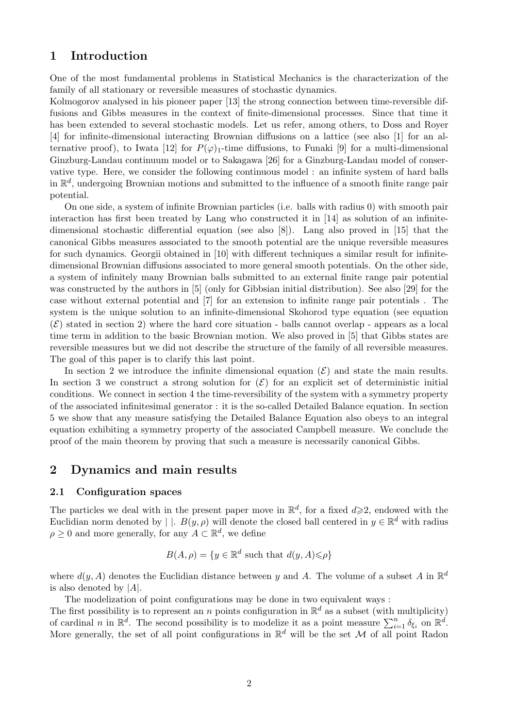## 1 Introduction

One of the most fundamental problems in Statistical Mechanics is the characterization of the family of all stationary or reversible measures of stochastic dynamics.

Kolmogorov analysed in his pioneer paper [13] the strong connection between time-reversible diffusions and Gibbs measures in the context of finite-dimensional processes. Since that time it has been extended to several stochastic models. Let us refer, among others, to Doss and Royer [4] for infinite-dimensional interacting Brownian diffusions on a lattice (see also [1] for an alternative proof), to Iwata [12] for  $P(\varphi)_1$ -time diffusions, to Funaki [9] for a multi-dimensional Ginzburg-Landau continuum model or to Sakagawa [26] for a Ginzburg-Landau model of conservative type. Here, we consider the following continuous model : an infinite system of hard balls in  $\mathbb{R}^d$ , undergoing Brownian motions and submitted to the influence of a smooth finite range pair potential.

On one side, a system of infinite Brownian particles (i.e. balls with radius 0) with smooth pair interaction has first been treated by Lang who constructed it in [14] as solution of an infinitedimensional stochastic differential equation (see also [8]). Lang also proved in [15] that the canonical Gibbs measures associated to the smooth potential are the unique reversible measures for such dynamics. Georgii obtained in [10] with different techniques a similar result for infinitedimensional Brownian diffusions associated to more general smooth potentials. On the other side, a system of infinitely many Brownian balls submitted to an external finite range pair potential was constructed by the authors in [5] (only for Gibbsian initial distribution). See also [29] for the case without external potential and [7] for an extension to infinite range pair potentials . The system is the unique solution to an infinite-dimensional Skohorod type equation (see equation  $(\mathcal{E})$  stated in section 2) where the hard core situation - balls cannot overlap - appears as a local time term in addition to the basic Brownian motion. We also proved in [5] that Gibbs states are reversible measures but we did not describe the structure of the family of all reversible measures. The goal of this paper is to clarify this last point.

In section 2 we introduce the infinite dimensional equation  $(\mathcal{E})$  and state the main results. In section 3 we construct a strong solution for  $(\mathcal{E})$  for an explicit set of deterministic initial conditions. We connect in section 4 the time-reversibility of the system with a symmetry property of the associated infinitesimal generator : it is the so-called Detailed Balance equation. In section 5 we show that any measure satisfying the Detailed Balance Equation also obeys to an integral equation exhibiting a symmetry property of the associated Campbell measure. We conclude the proof of the main theorem by proving that such a measure is necessarily canonical Gibbs.

## 2 Dynamics and main results

#### 2.1 Configuration spaces

The particles we deal with in the present paper move in  $\mathbb{R}^d$ , for a fixed  $d\geqslant 2$ , endowed with the Euclidian norm denoted by | |.  $B(y, \rho)$  will denote the closed ball centered in  $y \in \mathbb{R}^d$  with radius  $\rho \geq 0$  and more generally, for any  $A \subset \mathbb{R}^d$ , we define

$$
B(A, \rho) = \{ y \in \mathbb{R}^d \text{ such that } d(y, A) \leq \rho \}
$$

where  $d(y, A)$  denotes the Euclidian distance between y and A. The volume of a subset A in  $\mathbb{R}^d$ is also denoted by  $|A|$ .

The modelization of point configurations may be done in two equivalent ways :

The first possibility is to represent an n points configuration in  $\mathbb{R}^d$  as a subset (with multiplicity) of cardinal n in  $\mathbb{R}^d$ . The second possibility is to modelize it as a point measure  $\sum_{i=1}^n \delta_{\xi_i}$  on  $\mathbb{R}^d$ . More generally, the set of all point configurations in  $\mathbb{R}^d$  will be the set M of all point Radon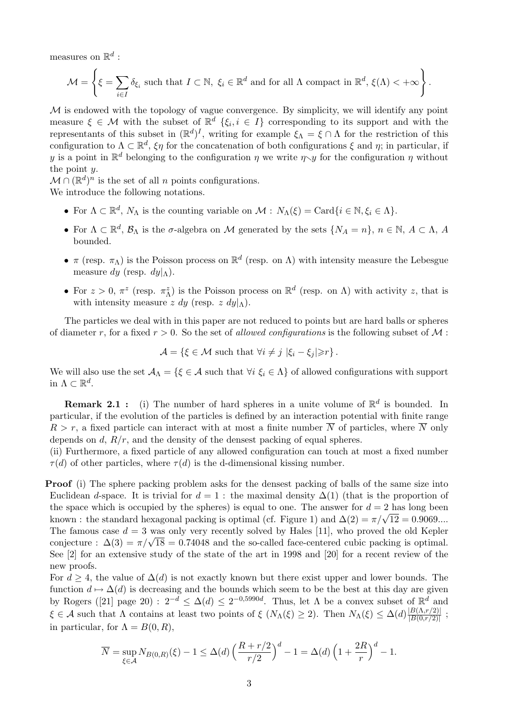measures on  $\mathbb{R}^d$  :

$$
\mathcal{M} = \left\{ \xi = \sum_{i \in I} \delta_{\xi_i} \text{ such that } I \subset \mathbb{N}, \ \xi_i \in \mathbb{R}^d \text{ and for all } \Lambda \text{ compact in } \mathbb{R}^d, \ \xi(\Lambda) < +\infty \right\}.
$$

 $M$  is endowed with the topology of vague convergence. By simplicity, we will identify any point measure  $\xi \in \mathcal{M}$  with the subset of  $\mathbb{R}^d$   $\{\xi_i, i \in I\}$  corresponding to its support and with the representants of this subset in  $(\mathbb{R}^d)^I$ , writing for example  $\xi_{\Lambda} = \xi \cap \Lambda$  for the restriction of this configuration to  $\Lambda \subset \mathbb{R}^d$ ,  $\xi \eta$  for the concatenation of both configurations  $\xi$  and  $\eta$ ; in particular, if y is a point in  $\mathbb{R}^d$  belonging to the configuration  $\eta$  we write  $\eta \searrow y$  for the configuration  $\eta$  without the point  $y$ .

 $\mathcal{M} \cap (\mathbb{R}^d)^n$  is the set of all n points configurations.

We introduce the following notations.

- For  $\Lambda \subset \mathbb{R}^d$ ,  $N_{\Lambda}$  is the counting variable on  $\mathcal{M}: N_{\Lambda}(\xi) = \text{Card}\{i \in \mathbb{N}, \xi_i \in \Lambda\}.$
- For  $\Lambda \subset \mathbb{R}^d$ ,  $\mathcal{B}_\Lambda$  is the  $\sigma$ -algebra on M generated by the sets  $\{N_A = n\}$ ,  $n \in \mathbb{N}$ ,  $A \subset \Lambda$ , A bounded.
- $\pi$  (resp.  $\pi_{\Lambda}$ ) is the Poisson process on  $\mathbb{R}^d$  (resp. on  $\Lambda$ ) with intensity measure the Lebesgue measure dy (resp.  $dy|_{\Lambda}$ ).
- For  $z > 0$ ,  $\pi^z$  (resp.  $\pi^z$ ) is the Poisson process on  $\mathbb{R}^d$  (resp. on  $\Lambda$ ) with activity z, that is with intensity measure  $z \, dy$  (resp.  $z \, dy|_{\Lambda}$ ).

The particles we deal with in this paper are not reduced to points but are hard balls or spheres of diameter r, for a fixed  $r > 0$ . So the set of *allowed configurations* is the following subset of M :

$$
\mathcal{A} = \{\xi \in \mathcal{M} \text{ such that } \forall i \neq j \, |\xi_i - \xi_j| \geq r \}.
$$

We will also use the set  $\mathcal{A}_{\Lambda} = \{\xi \in \mathcal{A} \text{ such that } \forall i \xi_i \in \Lambda\}$  of allowed configurations with support in  $\Lambda \subset \mathbb{R}^d$ .

**Remark 2.1**: (i) The number of hard spheres in a unite volume of  $\mathbb{R}^d$  is bounded. In particular, if the evolution of the particles is defined by an interaction potential with finite range  $R > r$ , a fixed particle can interact with at most a finite number  $\overline{N}$  of particles, where  $\overline{N}$  only depends on  $d$ ,  $R/r$ , and the density of the densest packing of equal spheres.

(ii) Furthermore, a fixed particle of any allowed configuration can touch at most a fixed number  $\tau(d)$  of other particles, where  $\tau(d)$  is the d-dimensional kissing number.

Proof (i) The sphere packing problem asks for the densest packing of balls of the same size into Euclidean d-space. It is trivial for  $d = 1$ : the maximal density  $\Delta(1)$  (that is the proportion of the space which is occupied by the spheres) is equal to one. The answer for  $d = 2$  has long been the space which is occupied by the spheres) is equal to one. The answer for  $a = 2$  has long been<br>known : the standard hexagonal packing is optimal (cf. Figure 1) and  $\Delta(2) = \pi/\sqrt{12} = 0.9069....$ The famous case  $d = 3$  was only very recently solved by Hales [11], who proved the old Kepler The famous case  $a = 3$  was omly very recently solved by Hales [11], who proved the old Repler conjecture :  $\Delta(3) = \pi/\sqrt{18} = 0.74048$  and the so-called face-centered cubic packing is optimal. See [2] for an extensive study of the state of the art in 1998 and [20] for a recent review of the new proofs.

For  $d \geq 4$ , the value of  $\Delta(d)$  is not exactly known but there exist upper and lower bounds. The function  $d \mapsto \Delta(d)$  is decreasing and the bounds which seem to be the best at this day are given by Rogers ([21] page 20) :  $2^{-d} \leq \Delta(d) \leq 2^{-0.5990d}$ . Thus, let  $\Lambda$  be a convex subset of  $\mathbb{R}^d$  and  $\xi \in \mathcal{A}$  such that  $\Lambda$  contains at least two points of  $\xi$   $(N_\Lambda(\xi) \geq 2)$ . Then  $N_\Lambda(\xi) \leq \Delta(d) \frac{|B(\Lambda,r/2)|}{|B(0,r/2)|}$  $\frac{|B(\Lambda,r/2)|}{|B(0,r/2)|}$ ; in particular, for  $\Lambda = B(0, R)$ ,

$$
\overline{N} = \sup_{\xi \in \mathcal{A}} N_{B(0,R)}(\xi) - 1 \le \Delta(d) \left( \frac{R + r/2}{r/2} \right)^d - 1 = \Delta(d) \left( 1 + \frac{2R}{r} \right)^d - 1.
$$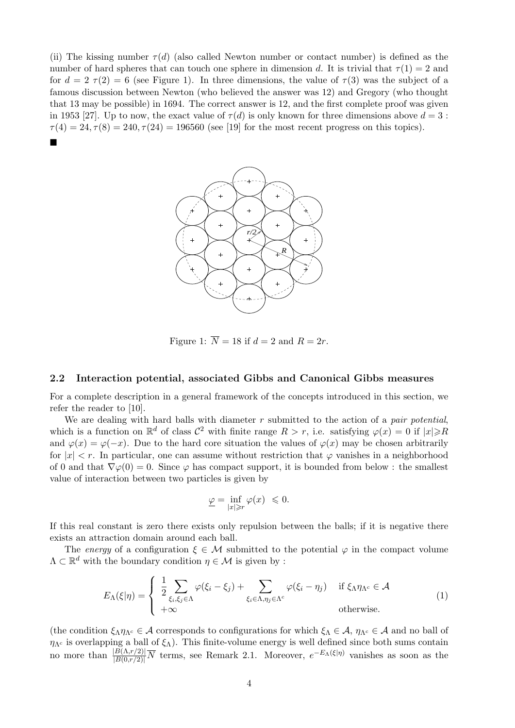(ii) The kissing number  $\tau(d)$  (also called Newton number or contact number) is defined as the number of hard spheres that can touch one sphere in dimension d. It is trivial that  $\tau(1) = 2$  and for  $d = 2 \tau(2) = 6$  (see Figure 1). In three dimensions, the value of  $\tau(3)$  was the subject of a famous discussion between Newton (who believed the answer was 12) and Gregory (who thought that 13 may be possible) in 1694. The correct answer is 12, and the first complete proof was given in 1953 [27]. Up to now, the exact value of  $\tau(d)$  is only known for three dimensions above  $d=3$ :  $\tau(4) = 24, \tau(8) = 240, \tau(24) = 196560$  (see [19] for the most recent progress on this topics).  $\blacksquare$ 



Figure 1:  $\overline{N} = 18$  if  $d = 2$  and  $R = 2r$ .

#### 2.2 Interaction potential, associated Gibbs and Canonical Gibbs measures

For a complete description in a general framework of the concepts introduced in this section, we refer the reader to [10].

We are dealing with hard balls with diameter  $r$  submitted to the action of a *pair potential*, which is a function on  $\mathbb{R}^d$  of class  $\mathcal{C}^2$  with finite range  $R > r$ , i.e. satisfying  $\varphi(x) = 0$  if  $|x| \ge R$ and  $\varphi(x) = \varphi(-x)$ . Due to the hard core situation the values of  $\varphi(x)$  may be chosen arbitrarily for  $|x| < r$ . In particular, one can assume without restriction that  $\varphi$  vanishes in a neighborhood of 0 and that  $\nabla \varphi(0) = 0$ . Since  $\varphi$  has compact support, it is bounded from below : the smallest value of interaction between two particles is given by

$$
\underline{\varphi}=\inf_{|x|\geqslant r}\varphi(x)\ \leqslant 0.
$$

If this real constant is zero there exists only repulsion between the balls; if it is negative there exists an attraction domain around each ball.

The energy of a configuration  $\xi \in \mathcal{M}$  submitted to the potential  $\varphi$  in the compact volume  $\Lambda \subset \mathbb{R}^d$  with the boundary condition  $\eta \in \mathcal{M}$  is given by :

$$
E_{\Lambda}(\xi|\eta) = \begin{cases} \frac{1}{2} \sum_{\xi_i,\xi_j \in \Lambda} \varphi(\xi_i - \xi_j) + \sum_{\xi_i \in \Lambda, \eta_j \in \Lambda^c} \varphi(\xi_i - \eta_j) & \text{if } \xi_{\Lambda} \eta_{\Lambda^c} \in \mathcal{A} \\ +\infty & \text{otherwise.} \end{cases}
$$
(1)

(the condition  $\xi_{\Lambda}\eta_{\Lambda^c}\in\mathcal{A}$  corresponds to configurations for which  $\xi_{\Lambda}\in\mathcal{A}$ ,  $\eta_{\Lambda^c}\in\mathcal{A}$  and no ball of  $\eta_{\Lambda_c}$  is overlapping a ball of  $\xi_{\Lambda}$ ). This finite-volume energy is well defined since both sums contain no more than  $\frac{|B(\Lambda,r/2)|}{|B(0,r/2)|}\overline{N}$  terms, see Remark 2.1. Moreover,  $e^{-E_{\Lambda}(\xi|\eta)}$  vanishes as soon as the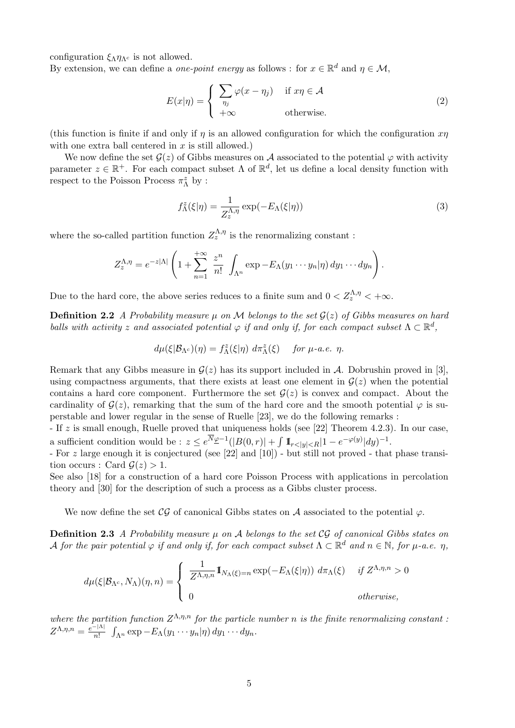configuration  $\xi_{\Lambda} \eta_{\Lambda^c}$  is not allowed.

By extension, we can define a *one-point energy* as follows : for  $x \in \mathbb{R}^d$  and  $\eta \in \mathcal{M}$ ,

$$
E(x|\eta) = \begin{cases} \sum_{\eta_j} \varphi(x - \eta_j) & \text{if } x\eta \in \mathcal{A} \\ +\infty & \text{otherwise.} \end{cases}
$$
 (2)

(this function is finite if and only if  $\eta$  is an allowed configuration for which the configuration  $x\eta$ with one extra ball centered in  $x$  is still allowed.)

We now define the set  $G(z)$  of Gibbs measures on A associated to the potential  $\varphi$  with activity parameter  $z \in \mathbb{R}^+$ . For each compact subset  $\Lambda$  of  $\mathbb{R}^d$ , let us define a local density function with respect to the Poisson Process  $\pi_{\Lambda}^z$  by :

$$
f_{\Lambda}^{z}(\xi|\eta) = \frac{1}{Z_{z}^{\Lambda,\eta}} \exp(-E_{\Lambda}(\xi|\eta))
$$
\n(3)

where the so-called partition function  $Z_{z}^{\Lambda,\eta}$  is the renormalizing constant:

$$
Z_z^{\Lambda,\eta} = e^{-z|\Lambda|} \left( 1 + \sum_{n=1}^{+\infty} \frac{z^n}{n!} \int_{\Lambda^n} \exp -E_\Lambda(y_1 \cdots y_n | \eta) dy_1 \cdots dy_n \right).
$$

Due to the hard core, the above series reduces to a finite sum and  $0 < Z_z^{\Lambda,\eta} < +\infty$ .

**Definition 2.2** A Probability measure  $\mu$  on M belongs to the set  $\mathcal{G}(z)$  of Gibbs measures on hard balls with activity z and associated potential  $\varphi$  if and only if, for each compact subset  $\Lambda \subset \mathbb{R}^d$ ,

$$
d\mu(\xi|\mathcal{B}_{\Lambda^c})(\eta) = f_{\Lambda}^z(\xi|\eta) \, d\pi_{\Lambda}^z(\xi) \quad \text{for } \mu\text{-}a.e. \ \eta.
$$

Remark that any Gibbs measure in  $\mathcal{G}(z)$  has its support included in A. Dobrushin proved in [3], using compactness arguments, that there exists at least one element in  $\mathcal{G}(z)$  when the potential contains a hard core component. Furthermore the set  $G(z)$  is convex and compact. About the cardinality of  $G(z)$ , remarking that the sum of the hard core and the smooth potential  $\varphi$  is superstable and lower regular in the sense of Ruelle [23], we do the following remarks :

- If z is small enough, Ruelle proved that uniqueness holds (see [22] Theorem 4.2.3). In our case, a sufficient condition would be :  $z \leq e^{N\mathcal{L} - 1}(|B(0, r)| + \int 1\!\!1_{r \leq |y| \leq R}|1 - e^{-\varphi(y)}|dy)^{-1}$ .

- For z large enough it is conjectured (see [22] and [10]) - but still not proved - that phase transition occurs : Card  $\mathcal{G}(z) > 1$ .

See also [18] for a construction of a hard core Poisson Process with applications in percolation theory and [30] for the description of such a process as a Gibbs cluster process.

We now define the set  $\mathcal{CG}$  of canonical Gibbs states on A associated to the potential  $\varphi$ .

**Definition 2.3** A Probability measure  $\mu$  on A belongs to the set CG of canonical Gibbs states on A for the pair potential  $\varphi$  if and only if, for each compact subset  $\Lambda \subset \mathbb{R}^d$  and  $n \in \mathbb{N}$ , for  $\mu$ -a.e.  $\eta$ ,

$$
d\mu(\xi|\mathcal{B}_{\Lambda^c}, N_{\Lambda})(\eta, n) = \begin{cases} \frac{1}{Z^{\Lambda, \eta, n}} 1\!\!1_{N_{\Lambda}(\xi) = n} \exp(-E_{\Lambda}(\xi|\eta)) d\pi_{\Lambda}(\xi) & \text{if } Z^{\Lambda, \eta, n} > 0 \\ 0 & \text{otherwise,} \end{cases}
$$

where the partition function  $Z^{\Lambda,\eta,n}$  for the particle number n is the finite renormalizing constant :  $Z^{\Lambda,\eta,n}=\frac{e^{-|\Lambda|}}{n!}$  $\frac{1}{n!} \int_{\Lambda^n} \exp -E_\Lambda(y_1\cdots y_n|\eta) \, dy_1\cdots dy_n.$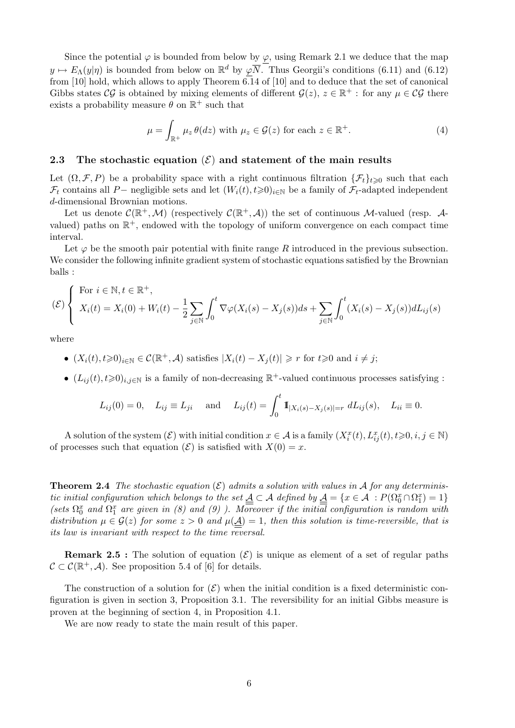Since the potential  $\varphi$  is bounded from below by  $\underline{\varphi}$ , using Remark 2.1 we deduce that the map  $y \mapsto E_{\Lambda}(y|\eta)$  is bounded from below on  $\mathbb{R}^d$  by  $\varphi \overline{N}$ . Thus Georgii's conditions (6.11) and (6.12) from [10] hold, which allows to apply Theorem  $\overline{6.1}4$  of [10] and to deduce that the set of canonical Gibbs states CG is obtained by mixing elements of different  $\mathcal{G}(z)$ ,  $z \in \mathbb{R}^+$ : for any  $\mu \in \mathcal{CG}$  there exists a probability measure  $\theta$  on  $\mathbb{R}^+$  such that

$$
\mu = \int_{\mathbb{R}^+} \mu_z \,\theta(dz) \text{ with } \mu_z \in \mathcal{G}(z) \text{ for each } z \in \mathbb{R}^+.
$$
 (4)

#### 2.3 The stochastic equation  $(\mathcal{E})$  and statement of the main results

Let  $(\Omega, \mathcal{F}, P)$  be a probability space with a right continuous filtration  $\{\mathcal{F}_t\}_{t\geq 0}$  such that each  $\mathcal{F}_t$  contains all P− negligible sets and let  $(W_i(t), t \ge 0)_{i \in \mathbb{N}}$  be a family of  $\mathcal{F}_t$ -adapted independent d-dimensional Brownian motions.

Let us denote  $\mathcal{C}(\mathbb{R}^+, \mathcal{M})$  (respectively  $\mathcal{C}(\mathbb{R}^+, \mathcal{A})$ ) the set of continuous M-valued (resp. Avalued) paths on  $\mathbb{R}^+$ , endowed with the topology of uniform convergence on each compact time interval.

Let  $\varphi$  be the smooth pair potential with finite range R introduced in the previous subsection. We consider the following infinite gradient system of stochastic equations satisfied by the Brownian balls :

$$
(\mathcal{E})\left\{\begin{array}{l}\text{For }i\in\mathbb{N},t\in\mathbb{R}^+,\\ X_i(t) = X_i(0) + W_i(t) - \frac{1}{2}\sum_{j\in\mathbb{N}}\int_0^t\nabla\varphi(X_i(s) - X_j(s))ds + \sum_{j\in\mathbb{N}}\int_0^t(X_i(s) - X_j(s))dL_{ij}(s)\end{array}\right.
$$

where

- $(X_i(t), t \geq 0)_{i \in \mathbb{N}} \in \mathcal{C}(\mathbb{R}^+, \mathcal{A})$  satisfies  $|X_i(t) X_j(t)| \geq r$  for  $t \geq 0$  and  $i \neq j$ ;
- $(L_{ij}(t), t \ge 0)_{i,j \in \mathbb{N}}$  is a family of non-decreasing  $\mathbb{R}^+$ -valued continuous processes satisfying :

$$
L_{ij}(0) = 0
$$
,  $L_{ij} \equiv L_{ji}$  and  $L_{ij}(t) = \int_0^t \mathbf{1}_{|X_i(s) - X_j(s)| = r} dL_{ij}(s)$ ,  $L_{ii} \equiv 0$ .

A solution of the system  $(\mathcal{E})$  with initial condition  $x \in \mathcal{A}$  is a family  $(X_i^x(t), L_{ij}^x(t), t \geq 0, i, j \in \mathbb{N})$ of processes such that equation  $(\mathcal{E})$  is satisfied with  $X(0) = x$ .

**Theorem 2.4** The stochastic equation  $(\mathcal{E})$  admits a solution with values in A for any deterministic initial configuration which belongs to the set  $\underline{A} \subset A$  defined by  $\underline{A} = \{x \in A : P(\Omega_0^x \cap \Omega_1^x) = 1\}$ (sets  $\Omega_0^x$  and  $\Omega_1^x$  are given in (8) and (9)). Moreover if the initial configuration is random with distribution  $\mu \in \mathcal{G}(z)$  for some  $z > 0$  and  $\mu(\underline{A}) = 1$ , then this solution is time-reversible, that is its law is invariant with respect to the time reversal.

**Remark 2.5**: The solution of equation  $(\mathcal{E})$  is unique as element of a set of regular paths  $\mathcal{C} \subset \mathcal{C}(\mathbb{R}^+, \mathcal{A})$ . See proposition 5.4 of [6] for details.

The construction of a solution for  $(\mathcal{E})$  when the initial condition is a fixed deterministic configuration is given in section 3, Proposition 3.1. The reversibility for an initial Gibbs measure is proven at the beginning of section 4, in Proposition 4.1.

We are now ready to state the main result of this paper.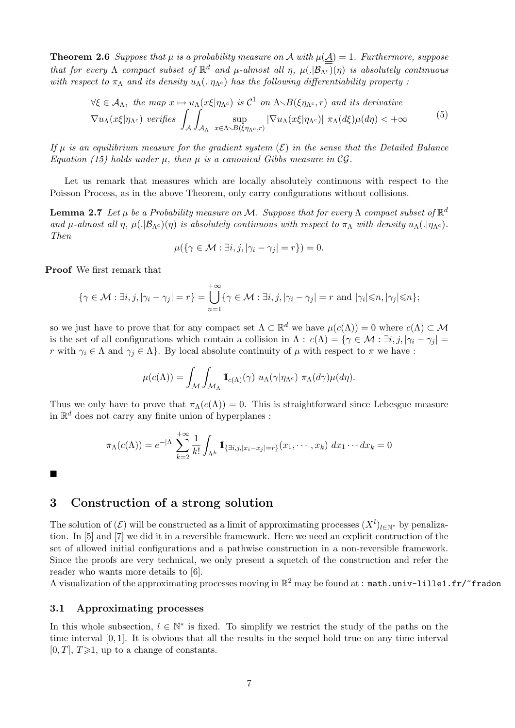**Theorem 2.6** Suppose that  $\mu$  is a probability measure on A with  $\mu(\underline{A}) = 1$ . Furthermore, suppose that for every  $\Lambda$  compact subset of  $\mathbb{R}^d$  and  $\mu$ -almost all  $\eta$ ,  $\mu(.|\mathcal{B}_{\Lambda^c})(\eta)$  is absolutely continuous with respect to  $\pi_\Lambda$  and its density  $u_\Lambda(.)\eta_{\Lambda_c}$  has the following differentiability property:

$$
\forall \xi \in \mathcal{A}_{\Lambda}, \text{ the map } x \mapsto u_{\Lambda}(x\xi|\eta_{\Lambda^c}) \text{ is } \mathcal{C}^1 \text{ on } \Lambda \setminus B(\xi\eta_{\Lambda^c}, r) \text{ and its derivative}
$$
  

$$
\nabla u_{\Lambda}(x\xi|\eta_{\Lambda^c}) \text{ verifies } \int_{\mathcal{A}} \int_{\mathcal{A}_{\Lambda}} \sup_{x \in \Lambda \setminus B(\xi\eta_{\Lambda^c}, r)} |\nabla u_{\Lambda}(x\xi|\eta_{\Lambda^c})| \pi_{\Lambda}(d\xi)\mu(d\eta) < +\infty
$$
 (5)

If u is an equilibrium measure for the gradient system  $(\mathcal{E})$  in the sense that the Detailed Balance Equation (15) holds under  $\mu$ , then  $\mu$  is a canonical Gibbs measure in CG.

Let us remark that measures which are locally absolutely continuous with respect to the Poisson Process, as in the above Theorem, only carry configurations without collisions.

**Lemma 2.7** Let  $\mu$  be a Probability measure on M. Suppose that for every  $\Lambda$  compact subset of  $\mathbb{R}^d$ and  $\mu$ -almost all  $\eta$ ,  $\mu(.|\mathcal{B}_{\Lambda_c})(\eta)$  is absolutely continuous with respect to  $\pi_\Lambda$  with density  $u_\Lambda(.|\eta_{\Lambda_c})$ . Then

$$
\mu(\{\gamma \in \mathcal{M} : \exists i, j, |\gamma_i - \gamma_j| = r\}) = 0.
$$

Proof We first remark that

$$
\{\gamma\in\mathcal{M}: \exists i,j, |\gamma_i-\gamma_j|=r\}=\bigcup_{n=1}^{+\infty}\{\gamma\in\mathcal{M}: \exists i,j, |\gamma_i-\gamma_j|=r \text{ and } |\gamma_i|\leqslant n, |\gamma_j|\leqslant n\};
$$

so we just have to prove that for any compact set  $\Lambda \subset \mathbb{R}^d$  we have  $\mu(c(\Lambda)) = 0$  where  $c(\Lambda) \subset \mathcal{M}$ is the set of all configurations which contain a collision in  $\Lambda$  :  $c(\Lambda) = \{ \gamma \in \mathcal{M} : \exists i, j, |\gamma_i - \gamma_j| =$ r with  $\gamma_i \in \Lambda$  and  $\gamma_j \in \Lambda$ . By local absolute continuity of  $\mu$  with respect to  $\pi$  we have :

$$
\mu(c(\Lambda)) = \int_{\mathcal{M}} \int_{\mathcal{M}_{\Lambda}} \mathbb{I}_{c(\Lambda)}(\gamma) \ u_{\Lambda}(\gamma | \eta_{\Lambda^c}) \ \pi_{\Lambda}(d\gamma) \mu(d\eta).
$$

Thus we only have to prove that  $\pi_{\Lambda}(c(\Lambda)) = 0$ . This is straightforward since Lebesgue measure in  $\mathbb{R}^d$  does not carry any finite union of hyperplanes :

$$
\pi_{\Lambda}(c(\Lambda)) = e^{-|\Lambda|} \sum_{k=2}^{+\infty} \frac{1}{k!} \int_{\Lambda^k} 1\!\!1_{\{\exists i,j, |x_i - x_j| = r\}}(x_1, \cdots, x_k) \, dx_1 \cdots dx_k = 0
$$

 $\blacksquare$ 

## 3 Construction of a strong solution

The solution of  $(\mathcal{E})$  will be constructed as a limit of approximating processes  $(X^l)_{l\in\mathbb{N}^*}$  by penalization. In [5] and [7] we did it in a reversible framework. Here we need an explicit contruction of the set of allowed initial configurations and a pathwise construction in a non-reversible framework. Since the proofs are very technical, we only present a squetch of the construction and refer the reader who wants more details to [6].

A visualization of the approximating processes moving in  $\mathbb{R}^2$  may be found at :  $\texttt{match.univ-lilled.fr/}$  <code>fradon</code>

## 3.1 Approximating processes

In this whole subsection,  $l \in \mathbb{N}^*$  is fixed. To simplify we restrict the study of the paths on the time interval  $[0, 1]$ . It is obvious that all the results in the sequel hold true on any time interval  $[0, T]$ ,  $T \geq 1$ , up to a change of constants.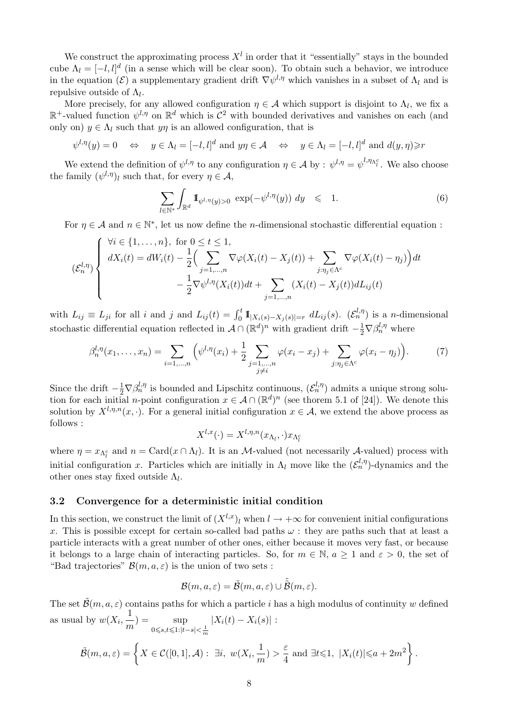We construct the approximating process  $X<sup>l</sup>$  in order that it "essentially" stays in the bounded cube  $\Lambda_l = [-l, l]^d$  (in a sense which will be clear soon). To obtain such a behavior, we introduce in the equation ( $\mathcal{E}$ ) a supplementary gradient drift  $\nabla \psi^{l,\eta}$  which vanishes in a subset of  $\Lambda_l$  and is repulsive outside of  $\Lambda_l$ .

More precisely, for any allowed configuration  $\eta \in \mathcal{A}$  which support is disjoint to  $\Lambda_l$ , we fix a  $\mathbb{R}^+$ -valued function  $\psi^{l,\eta}$  on  $\mathbb{R}^d$  which is  $\mathcal{C}^2$  with bounded derivatives and vanishes on each (and only on)  $y \in \Lambda_l$  such that  $y\eta$  is an allowed configuration, that is

$$
\psi^{l,\eta}(y) = 0 \quad \Leftrightarrow \quad y \in \Lambda_l = [-l, l]^d \text{ and } y\eta \in \mathcal{A} \quad \Leftrightarrow \quad y \in \Lambda_l = [-l, l]^d \text{ and } d(y, \eta) \ge r
$$

We extend the definition of  $\psi^{l,\eta}$  to any configuration  $\eta \in \mathcal{A}$  by :  $\psi^{l,\eta} = \psi^{l,\eta_{\Lambda_l^c}}$ . We also choose the family  $(\psi^{l,\eta})_l$  such that, for every  $\eta \in \mathcal{A}$ ,

$$
\sum_{l \in \mathbb{N}^*} \int_{\mathbb{R}^d} \mathbb{I}_{\psi^{l,\eta}(y) > 0} \, \exp(-\psi^{l,\eta}(y)) \, dy \quad \leqslant \quad 1. \tag{6}
$$

For  $\eta \in \mathcal{A}$  and  $n \in \mathbb{N}^*$ , let us now define the *n*-dimensional stochastic differential equation :

$$
\left(\mathcal{E}_n^{l,\eta}\right)\n\begin{cases}\n\forall i \in \{1,\ldots,n\}, \text{ for } 0 \le t \le 1, \\
dX_i(t) = dW_i(t) - \frac{1}{2}\Big(\sum_{j=1,\ldots,n} \nabla \varphi(X_i(t) - X_j(t)) + \sum_{j:\eta_j \in \Lambda^c} \nabla \varphi(X_i(t) - \eta_j)\Big)dt \\
-\frac{1}{2} \nabla \psi^{l,\eta}(X_i(t))dt + \sum_{j=1,\ldots,n} (X_i(t) - X_j(t))dL_{ij}(t)\n\end{cases}
$$

with  $L_{ij} \equiv L_{ji}$  for all i and j and  $L_{ij}(t) = \int_0^t \mathbb{1}_{|X_i(s) - X_j(s)| = r} dL_{ij}(s)$ .  $(\mathcal{E}_n^{l, \eta})$  is a *n*-dimensional stochastic differential equation reflected in  $\mathcal{A} \cap (\mathbb{R}^d)^n$  with gradient drift  $-\frac{1}{2} \nabla \beta_n^{l,\eta}$  where

$$
\beta_n^{l,\eta}(x_1,\ldots,x_n) = \sum_{i=1,\ldots,n} \left( \psi^{l,\eta}(x_i) + \frac{1}{2} \sum_{\substack{j=1,\ldots,n \\ j \neq i}} \varphi(x_i - x_j) + \sum_{j:\eta_j \in \Lambda^c} \varphi(x_i - \eta_j) \right). \tag{7}
$$

Since the drift  $-\frac{1}{2}\nabla\beta_n^{l,\eta}$  is bounded and Lipschitz continuous,  $(\mathcal{E}_n^{l,\eta})$  admits a unique strong solution for each initial *n*-point configuration  $x \in A \cap (\mathbb{R}^d)^n$  (see thorem 5.1 of [24]). We denote this solution by  $X^{l,\eta,n}(x, \cdot)$ . For a general initial configuration  $x \in A$ , we extend the above process as follows :

$$
X^{l,x}(\cdot) = X^{l,\eta,n}(x_{\Lambda_l},\cdot)x_{\Lambda_l^c}
$$

where  $\eta = x_{\Lambda_t^c}$  and  $n = \text{Card}(x \cap \Lambda_l)$ . It is an *M*-valued (not necessarily *A*-valued) process with initial configuration x. Particles which are initially in  $\Lambda_l$  move like the  $(\mathcal{E}_n^{l,\eta})$ -dynamics and the other ones stay fixed outside  $\Lambda_l$ .

## 3.2 Convergence for a deterministic initial condition

In this section, we construct the limit of  $(X^{l,x})_l$  when  $l \to +\infty$  for convenient initial configurations x. This is possible except for certain so-called bad paths  $\omega$ : they are paths such that at least a particle interacts with a great number of other ones, either because it moves very fast, or because it belongs to a large chain of interacting particles. So, for  $m \in \mathbb{N}$ ,  $a \ge 1$  and  $\varepsilon > 0$ , the set of "Bad trajectories"  $\mathcal{B}(m, a, \varepsilon)$  is the union of two sets :

$$
\mathcal{B}(m, a, \varepsilon) = \tilde{\mathcal{B}}(m, a, \varepsilon) \cup \tilde{\tilde{\mathcal{B}}}(m, \varepsilon).
$$

The set  $\tilde{\mathcal{B}}(m, a, \varepsilon)$  contains paths for which a particle i has a high modulus of continuity w defined as usual by  $w(X_i, \frac{1}{n})$  $\frac{1}{m}$  =  $\sup_{0 \leq s, t \leq 1:|t-s|}$ 0≤s,t≤1:|t−s|< $\frac{1}{m}$  $|X_i(t) - X_i(s)|$ :

$$
\tilde{\mathcal{B}}(m, a, \varepsilon) = \left\{ X \in \mathcal{C}([0, 1], \mathcal{A}) : \exists i, w(X_i, \frac{1}{m}) > \frac{\varepsilon}{4} \text{ and } \exists t \leq 1, |X_i(t)| \leq a + 2m^2 \right\}.
$$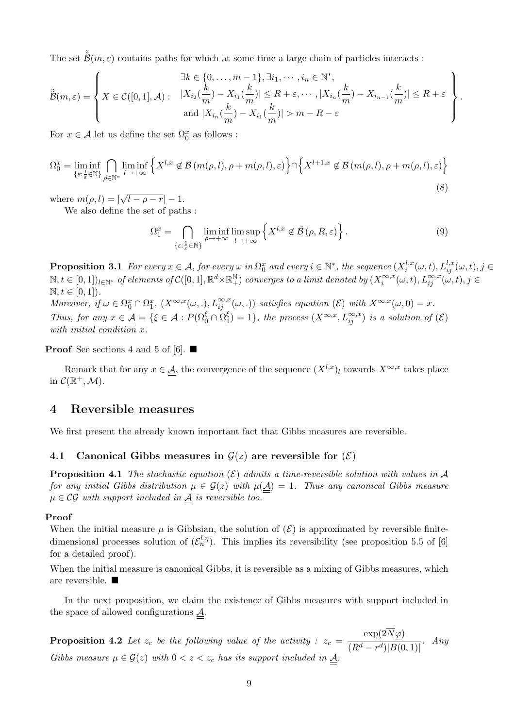The set  $\tilde{\tilde{\mathcal{B}}}(m,\varepsilon)$  contains paths for which at some time a large chain of particles interacts :

$$
\tilde{B}(m,\varepsilon) = \left\{ X \in \mathcal{C}([0,1],\mathcal{A}) : \begin{array}{l} \exists k \in \{0,\ldots,m-1\}, \exists i_1,\cdots,i_n \in \mathbb{N}^*, \\ X \in \mathcal{C}([0,1],\mathcal{A}) : \begin{array}{l} |X_{i_2}(\frac{k}{m}) - X_{i_1}(\frac{k}{m})| \leq R + \varepsilon, \cdots, |X_{i_n}(\frac{k}{m}) - X_{i_{n-1}}(\frac{k}{m})| \leq R + \varepsilon \\ \text{and } |X_{i_n}(\frac{k}{m}) - X_{i_1}(\frac{k}{m})| > m - R - \varepsilon \end{array} \right\}.
$$

For  $x \in \mathcal{A}$  let us define the set  $\Omega_0^x$  as follows :

$$
\Omega_0^x = \liminf_{\{\varepsilon : \frac{1}{\varepsilon} \in \mathbb{N}\}} \bigcap_{\rho \in \mathbb{N}^*} \liminf_{l \to +\infty} \left\{ X^{l,x} \notin \mathcal{B}\left(m(\rho,l), \rho + m(\rho,l), \varepsilon\right) \right\} \cap \left\{ X^{l+1,x} \notin \mathcal{B}\left(m(\rho,l), \rho + m(\rho,l), \varepsilon\right) \right\}
$$
\n(8)

where  $m(\rho, l) = [\sqrt{l - \rho - r}] - 1$ .

We also define the set of paths :

$$
\Omega_1^x = \bigcap_{\{\varepsilon : \frac{1}{\varepsilon} \in \mathbb{N}\}} \liminf_{\rho \to +\infty} \limsup_{l \to +\infty} \left\{ X^{l,x} \notin \tilde{\mathcal{B}}\left(\rho, R, \varepsilon\right) \right\}.
$$
 (9)

**Proposition 3.1** For every  $x \in A$ , for every  $\omega$  in  $\Omega_0^x$  and every  $i \in \mathbb{N}^*$ , the sequence  $(X_i^{l,x})$  $\iota_i^{l,x}(\omega,t), L_{ij}^{l,x}(\omega,t), j\in$  $\mathbb{N}, t\in [0,1])_{l\in \mathbb{N}^*}$  of elements of  $\mathcal{C}([0,1], \mathbb{R}^d\times\mathbb{R}^{\mathbb{N}}_+)$  converges to a limit denoted by  $(X_i^{\infty,x})$  $\sum_{i}^{\infty,x}(\omega,t)$ ,  $L_{ij}^{\infty,x}(\omega,t)$ ,  $j \in$  $\mathbb{N}, t \in [0, 1]$ .

Moreover, if  $\omega \in \Omega_0^x \cap \Omega_1^x$ ,  $(X^{\infty,x}(\omega,.), L_{ij}^{\infty,x}(\omega,.))$  satisfies equation  $(\mathcal{E})$  with  $X^{\infty,x}(\omega,0) = x$ . Thus, for any  $x \in \underline{\underline{A}} = \{ \xi \in \mathcal{A} : P(\Omega_0^{\xi} \cap \Omega_1^{\xi}) \}$  $\binom{\xi}{1} = 1$ , the process  $(X^{\infty,x}, L_{ij}^{\infty,x})$  is a solution of  $(\mathcal{E})$ with initial condition x.

**Proof** See sections 4 and 5 of [6].  $\blacksquare$ 

Remark that for any  $x \in \underline{\mathcal{A}}$ , the convergence of the sequence  $(X^{l,x})_l$  towards  $X^{\infty,x}$  takes place in  $\mathcal{C}(\mathbb{R}^+, \mathcal{M})$ .

## 4 Reversible measures

We first present the already known important fact that Gibbs measures are reversible.

## 4.1 Canonical Gibbs measures in  $\mathcal{G}(z)$  are reversible for  $(\mathcal{E})$

**Proposition 4.1** The stochastic equation  $(\mathcal{E})$  admits a time-reversible solution with values in A for any initial Gibbs distribution  $\mu \in \mathcal{G}(z)$  with  $\mu(\underline{A}) = 1$ . Thus any canonical Gibbs measure  $\mu \in \mathcal{CG}$  with support included in  $\underline{A}$  is reversible too.

#### Proof

When the initial measure  $\mu$  is Gibbsian, the solution of  $(\mathcal{E})$  is approximated by reversible finitedimensional processes solution of  $(\mathcal{E}_n^{l,\eta})$ . This implies its reversibility (see proposition 5.5 of [6] for a detailed proof).

When the initial measure is canonical Gibbs, it is reversible as a mixing of Gibbs measures, which are reversible.

In the next proposition, we claim the existence of Gibbs measures with support included in the space of allowed configurations  $\mathcal{A}$ .

**Proposition 4.2** Let  $z_c$  be the following value of the activity :  $z_c =$  $\exp(2N\varphi)$  $\frac{1}{(R^d-r^d)|B(0,1)|}$ . Any Gibbs measure  $\mu \in \mathcal{G}(z)$  with  $0 < z < z_c$  has its support included in  $\underline{A}$ .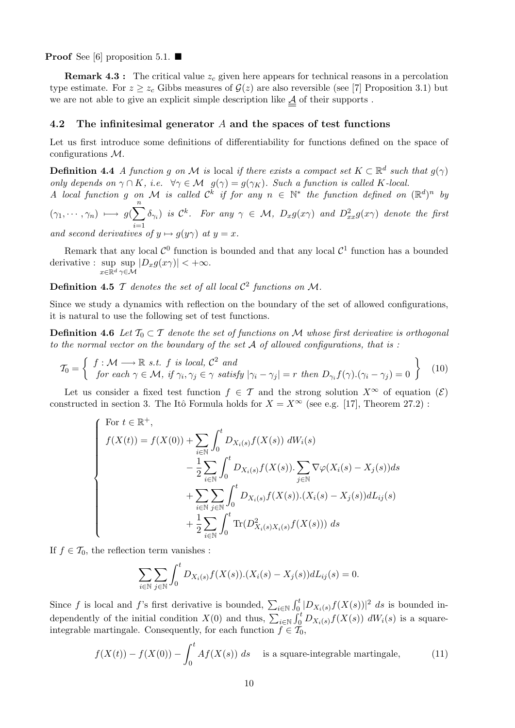**Proof** See [6] proposition 5.1.  $\blacksquare$ 

**Remark 4.3 :** The critical value  $z_c$  given here appears for technical reasons in a percolation type estimate. For  $z \ge z_c$  Gibbs measures of  $\mathcal{G}(z)$  are also reversible (see [7] Proposition 3.1) but we are not able to give an explicit simple description like  $A$  of their supports.

## 4.2 The infinitesimal generator  $A$  and the spaces of test functions

Let us first introduce some definitions of differentiability for functions defined on the space of configurations M.

**Definition 4.4** A function g on M is local if there exists a compact set  $K \subset \mathbb{R}^d$  such that  $g(\gamma)$ only depends on  $\gamma \cap K$ , i.e.  $\forall \gamma \in \mathcal{M}$   $g(\gamma) = g(\gamma_K)$ . Such a function is called K-local.

A local function g on M is called  $\mathcal{C}^k$  if for any  $n \in \mathbb{N}^*$  the function defined on  $(\mathbb{R}^d)^n$  by  $(\gamma_1, \cdots, \gamma_n) \longmapsto g(\sum^n)$  $\delta_{\gamma_i}$  is  $\mathcal{C}^k$ . For any  $\gamma \in \mathcal{M}$ ,  $D_x g(x\gamma)$  and  $D^2_{xx} g(x\gamma)$  denote the first

 $i=1$ and second derivatives of  $y \mapsto g(y\gamma)$  at  $y = x$ .

Remark that any local  $\mathcal{C}^0$  function is bounded and that any local  $\mathcal{C}^1$  function has a bounded derivative : sup  $x \in \mathbb{R}^d$ sup  $\sup_{\gamma \in \mathcal{M}} |D_x g(x\gamma)| < +\infty.$ 

**Definition 4.5**  $\mathcal T$  denotes the set of all local  $\mathcal C^2$  functions on M.

Since we study a dynamics with reflection on the boundary of the set of allowed configurations, it is natural to use the following set of test functions.

**Definition 4.6** Let  $T_0 \subset T$  denote the set of functions on M whose first derivative is orthogonal to the normal vector on the boundary of the set  $A$  of allowed configurations, that is :

$$
\mathcal{T}_0 = \left\{ \begin{array}{l} f : \mathcal{M} \longrightarrow \mathbb{R} \text{ s.t. } f \text{ is local, } C^2 \text{ and } \\ \text{for each } \gamma \in \mathcal{M}, \text{ if } \gamma_i, \gamma_j \in \gamma \text{ satisfy } |\gamma_i - \gamma_j| = r \text{ then } D_{\gamma_i} f(\gamma) . (\gamma_i - \gamma_j) = 0 \end{array} \right\} \tag{10}
$$

Let us consider a fixed test function  $f \in \mathcal{T}$  and the strong solution  $X^{\infty}$  of equation  $(\mathcal{E})$ constructed in section 3. The Itô Formula holds for  $X = X^\infty$  (see e.g. [17], Theorem 27.2):

$$
\begin{cases}\n\text{For } t \in \mathbb{R}^+, \\
f(X(t)) = f(X(0)) + \sum_{i \in \mathbb{N}} \int_0^t D_{X_i(s)} f(X(s)) \, dW_i(s) \\
- \frac{1}{2} \sum_{i \in \mathbb{N}} \int_0^t D_{X_i(s)} f(X(s)) \cdot \sum_{j \in \mathbb{N}} \nabla \varphi(X_i(s) - X_j(s)) ds \\
+ \sum_{i \in \mathbb{N}} \sum_{j \in \mathbb{N}} \int_0^t D_{X_i(s)} f(X(s)) \cdot (X_i(s) - X_j(s)) dL_{ij}(s) \\
+ \frac{1}{2} \sum_{i \in \mathbb{N}} \int_0^t \text{Tr}(D_{X_i(s)X_i(s)}^2 f(X(s))) \, ds\n\end{cases}
$$

If  $f \in \mathcal{T}_0$ , the reflection term vanishes :

$$
\sum_{i \in \mathbb{N}} \sum_{j \in \mathbb{N}} \int_0^t D_{X_i(s)} f(X(s)).(X_i(s) - X_j(s)) dL_{ij}(s) = 0.
$$

Since f is local and f's first derivative is bounded,  $\sum_{i\in\mathbb{N}}\int_0^t|D_{X_i(s)}f(X(s))|^2 ds$  is bounded independently of the initial condition  $X(0)$  and thus,  $\sum_{i\in\mathbb{N}}\int_0^t D_{X_i(s)}f(X(s)) dW_i(s)$  is a squareintegrable martingale. Consequently, for each function  $f \in \mathcal{T}_0$ ,

$$
f(X(t)) - f(X(0)) - \int_0^t Af(X(s)) \, ds \quad \text{ is a square-integrable martingale}, \tag{11}
$$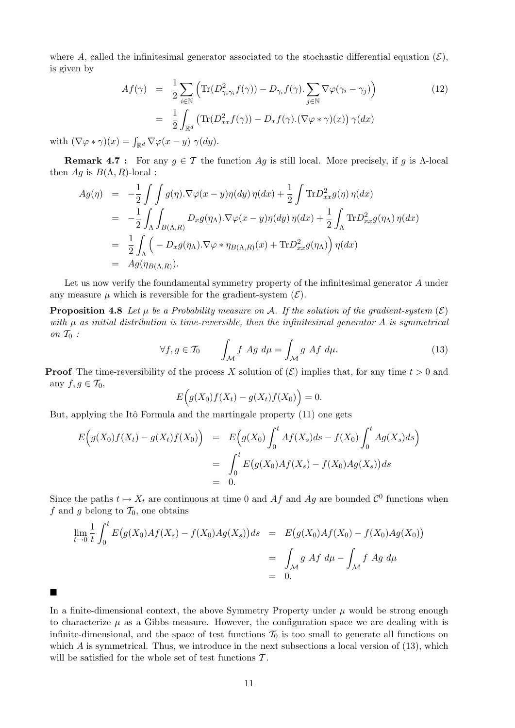where A, called the infinitesimal generator associated to the stochastic differential equation  $(\mathcal{E}),$ is given by

$$
Af(\gamma) = \frac{1}{2} \sum_{i \in \mathbb{N}} \left( \text{Tr}(D_{\gamma_i \gamma_i}^2 f(\gamma)) - D_{\gamma_i} f(\gamma) \cdot \sum_{j \in \mathbb{N}} \nabla \varphi(\gamma_i - \gamma_j) \right)
$$
(12)  

$$
= \frac{1}{2} \int_{\mathbb{R}^d} \left( \text{Tr}(D_{xx}^2 f(\gamma)) - D_x f(\gamma) \cdot (\nabla \varphi * \gamma)(x) \right) \gamma(dx)
$$

with  $(\nabla \varphi * \gamma)(x) = \int_{\mathbb{R}^d} \nabla \varphi(x - y) \gamma(dy)$ .

п

**Remark 4.7** : For any  $g \in \mathcal{T}$  the function Ag is still local. More precisely, if g is Λ-local then  $Ag$  is  $B(\Lambda, R)$ -local :

$$
Ag(\eta) = -\frac{1}{2} \int \int g(\eta) . \nabla \varphi(x - y) \eta(dy) \eta(dx) + \frac{1}{2} \int \text{Tr} D_{xx}^2 g(\eta) \eta(dx)
$$
  
\n
$$
= -\frac{1}{2} \int \int \int_{B(\Lambda,R)} D_{x} g(\eta \Lambda) . \nabla \varphi(x - y) \eta(dy) \eta(dx) + \frac{1}{2} \int \int \text{Tr} D_{xx}^2 g(\eta \Lambda) \eta(dx)
$$
  
\n
$$
= \frac{1}{2} \int \int \int \int_{B(\Lambda,R)} D_{x} g(\eta \Lambda) . \nabla \varphi * \eta_{B(\Lambda,R)}(x) + \text{Tr} D_{xx}^2 g(\eta \Lambda) \int \eta(dx)
$$
  
\n
$$
= Ag(\eta_{B(\Lambda,R)}).
$$

Let us now verify the foundamental symmetry property of the infinitesimal generator A under any measure  $\mu$  which is reversible for the gradient-system  $(\mathcal{E})$ .

**Proposition 4.8** Let  $\mu$  be a Probability measure on A. If the solution of the gradient-system  $(\mathcal{E})$ with  $\mu$  as initial distribution is time-reversible, then the infinitesimal generator A is symmetrical on  $\mathcal{T}_0$ :

$$
\forall f, g \in \mathcal{T}_0 \qquad \int_{\mathcal{M}} f \, Ag \, d\mu = \int_{\mathcal{M}} g \, Af \, d\mu. \tag{13}
$$

**Proof** The time-reversibility of the process X solution of  $(\mathcal{E})$  implies that, for any time  $t > 0$  and any  $f, g \in \mathcal{T}_0$ ,

$$
E\Big(g(X_0)f(X_t)-g(X_t)f(X_0)\Big)=0.
$$

But, applying the Itô Formula and the martingale property (11) one gets

$$
E(g(X_0)f(X_t) - g(X_t)f(X_0)) = E(g(X_0) \int_0^t Af(X_s)ds - f(X_0) \int_0^t Ag(X_s)ds
$$
  
= 
$$
\int_0^t E(g(X_0)Af(X_s) - f(X_0)Ag(X_s))ds
$$
  
= 0.

Since the paths  $t \mapsto X_t$  are continuous at time 0 and Af and Ag are bounded  $\mathcal{C}^0$  functions when f and g belong to  $\mathcal{T}_0$ , one obtains

$$
\lim_{t \to 0} \frac{1}{t} \int_0^t E(g(X_0)Af(X_s) - f(X_0)Ag(X_s))ds = E(g(X_0)Af(X_0) - f(X_0)Ag(X_0))
$$
  
= 
$$
\int_M g \, Af \, d\mu - \int_M f \, Ag \, d\mu
$$
  
= 0.

In a finite-dimensional context, the above Symmetry Property under  $\mu$  would be strong enough to characterize  $\mu$  as a Gibbs measure. However, the configuration space we are dealing with is infinite-dimensional, and the space of test functions  $\mathcal{T}_0$  is too small to generate all functions on which  $A$  is symmetrical. Thus, we introduce in the next subsections a local version of  $(13)$ , which will be satisfied for the whole set of test functions  $\mathcal{T}$ .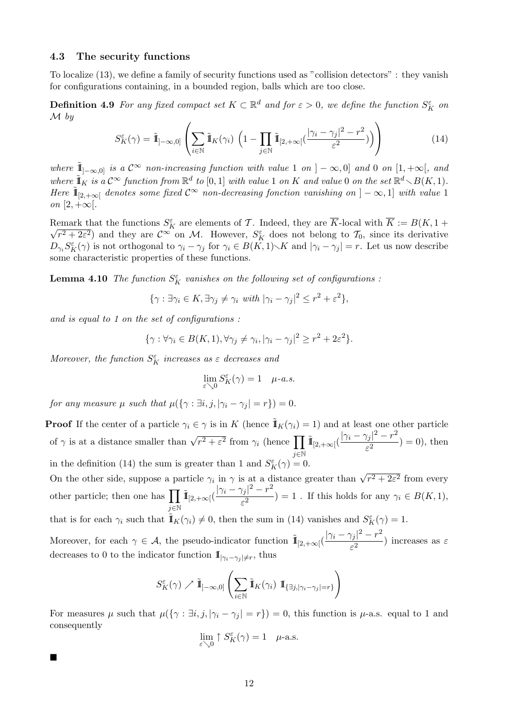## 4.3 The security functions

To localize (13), we define a family of security functions used as "collision detectors" : they vanish for configurations containing, in a bounded region, balls which are too close.

**Definition 4.9** For any fixed compact set  $K \subset \mathbb{R}^d$  and for  $\varepsilon > 0$ , we define the function  $S_K^{\varepsilon}$  on M by

$$
S_K^{\varepsilon}(\gamma) = \tilde{\mathbb{I}}_{]-\infty,0]} \left( \sum_{i \in \mathbb{N}} \tilde{\mathbb{I}}_K(\gamma_i) \left( 1 - \prod_{j \in \mathbb{N}} \tilde{\mathbb{I}}_{[2,+\infty[}(\frac{|\gamma_i - \gamma_j|^2 - r^2}{\varepsilon^2})) \right) \right)
$$
(14)

where  $\tilde{\mathbb{I}}_{]-\infty,0]}$  is a  $\mathcal{C}^{\infty}$  non-increasing function with value 1 on  $]-\infty,0]$  and 0 on  $[1,+\infty[$ , and where  $\tilde{\mathbb{I}}_K$  is a  $\mathcal{C}^\infty$  function from  $\mathbb{R}^d$  to  $[0,1]$  with value 1 on K and value 0 on the set  $\mathbb{R}^d \setminus B(K,1)$ . Here  $\tilde{\mathbb{I}}_{[2,+\infty]}$  denotes some fixed  $\mathcal{C}^{\infty}$  non-decreasing fonction vanishing on  $]-\infty,1]$  with value 1 on  $[2, +\infty)$ .

Remark that the functions  $S_K^{\varepsilon}$  are elements of T. Indeed, they are  $\overline{K}$ -local with  $\overline{K} := B(K, 1 + \overline{K})$  $\sqrt{r^2+2\varepsilon^2}$  and they are  $\mathcal{C}^{\infty}$  on M. However,  $S_K^{\varepsilon}$  does not belong to  $\mathcal{T}_0$ , since its derivative  $D_{\gamma_i} S_K^{\varepsilon}(\gamma)$  is not orthogonal to  $\gamma_i - \gamma_j$  for  $\gamma_i \in B(\widetilde{K}, 1) \setminus K$  and  $|\gamma_i - \gamma_j| = r$ . Let us now describe some characteristic properties of these functions.

**Lemma 4.10** The function  $S_K^{\varepsilon}$  vanishes on the following set of configurations :

$$
\{\gamma : \exists \gamma_i \in K, \exists \gamma_j \neq \gamma_i \text{ with } |\gamma_i - \gamma_j|^2 \leq r^2 + \varepsilon^2\},\
$$

and is equal to 1 on the set of configurations :

 $\blacksquare$ 

$$
\{\gamma : \forall \gamma_i \in B(K,1), \forall \gamma_j \neq \gamma_i, |\gamma_i - \gamma_j|^2 \geq r^2 + 2\epsilon^2\}.
$$

Moreover, the function  $S_K^{\varepsilon}$  increases as  $\varepsilon$  decreases and

$$
\lim_{\varepsilon \searrow 0} S_K^{\varepsilon}(\gamma) = 1 \quad \mu\text{-}a.s.
$$

for any measure  $\mu$  such that  $\mu({\{\gamma : \exists i, j, |\gamma_i - \gamma_j| = r\}}) = 0$ .

**Proof** If the center of a particle  $\gamma_i \in \gamma$  is in K (hence  $\mathbf{I}_K(\gamma_i) = 1$ ) and at least one other particle of  $\gamma$  is at a distance smaller than  $\sqrt{r^2 + \varepsilon^2}$  from  $\gamma_i$  (hence  $\prod$ j∈N  $\tilde{\mathbb{I}}_{[2,+\infty[}(\frac{|\gamma_i-\gamma_j|^2-r^2}{\sigma^2}$  $(\frac{r}{\varepsilon^2}) = 0$ , then in the definition (14) the sum is greater than 1 and  $S_K^{\varepsilon}(\gamma) = 0$ .

On the other side, suppose a particle  $\gamma_i$  in  $\gamma$  is at a distance greater than  $\sqrt{r^2 + 2\varepsilon^2}$  from every other particle; then one has  $\prod$ j∈N  $\tilde{\mathbb{I}}_{[2,+\infty]}(\frac{|\gamma_i-\gamma_j|^2-r^2}{\sigma^2})$  $\frac{f(j)}{\varepsilon^2}$  = 1. If this holds for any  $\gamma_i \in B(K,1),$ that is for each  $\gamma_i$  such that  $\tilde{\mathbb{I}}_K(\gamma_i) \neq 0$ , then the sum in (14) vanishes and  $S_K^{\varepsilon}(\gamma) = 1$ .

Moreover, for each  $\gamma \in \mathcal{A}$ , the pseudo-indicator function  $\tilde{\mathbb{I}}_{[2,+\infty]}(\frac{|\gamma_i-\gamma_j|^2-r^2}{r^2})$  $\frac{f(j)}{\varepsilon^2}$ ) increases as  $\varepsilon$ decreases to 0 to the indicator function  $\mathbb{I}_{|\gamma_i - \gamma_j| \neq r}$ , thus

$$
S_K^{\varepsilon}(\gamma) \nearrow \tilde{\mathbb{I}}_{]-\infty,0]} \left( \sum_{i \in \mathbb{N}} \tilde{\mathbb{I}}_K(\gamma_i) \mathbb{I}_{\{\exists j, |\gamma_i - \gamma_j| = r\}} \right)
$$

For measures  $\mu$  such that  $\mu({\{\gamma : \exists i, j, |\gamma_i - \gamma_j| = r\}}) = 0$ , this function is  $\mu$ -a.s. equal to 1 and consequently

$$
\lim_{\varepsilon \searrow 0} \uparrow S_K^{\varepsilon}(\gamma) = 1 \quad \text{${\mu}$-a.s.}
$$

12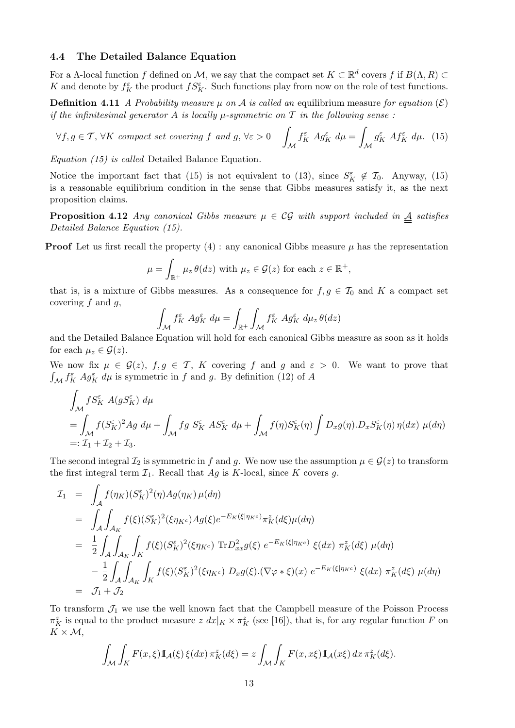## 4.4 The Detailed Balance Equation

For a  $\Lambda$ -local function f defined on M, we say that the compact set  $K \subset \mathbb{R}^d$  covers f if  $B(\Lambda, R) \subset$ K and denote by  $f_K^{\varepsilon}$  the product  $fS_K^{\varepsilon}$ . Such functions play from now on the role of test functions.

**Definition 4.11** A Probability measure  $\mu$  on A is called an equilibrium measure for equation  $(\mathcal{E})$ if the infinitesimal generator A is locally  $\mu$ -symmetric on T in the following sense:

$$
\forall f, g \in \mathcal{T}, \forall K \text{ compact set covering } f \text{ and } g, \forall \varepsilon > 0 \quad \int_{\mathcal{M}} f_K^{\varepsilon} A g_K^{\varepsilon} d\mu = \int_{\mathcal{M}} g_K^{\varepsilon} A f_K^{\varepsilon} d\mu. \tag{15}
$$

Equation (15) is called Detailed Balance Equation.

Notice the important fact that (15) is not equivalent to (13), since  $S_K^{\varepsilon} \notin \mathcal{T}_0$ . Anyway, (15) is a reasonable equilibrium condition in the sense that Gibbs measures satisfy it, as the next proposition claims.

**Proposition 4.12** Any canonical Gibbs measure  $\mu \in \mathcal{CG}$  with support included in  $\underline{A}$  satisfies Detailed Balance Equation (15).

**Proof** Let us first recall the property  $(4)$ : any canonical Gibbs measure  $\mu$  has the representation

$$
\mu = \int_{\mathbb{R}^+} \mu_z \,\theta(dz) \text{ with } \mu_z \in \mathcal{G}(z) \text{ for each } z \in \mathbb{R}^+,
$$

that is, is a mixture of Gibbs measures. As a consequence for  $f, g \in \mathcal{T}_0$  and K a compact set covering  $f$  and  $g$ ,

$$
\int_{\mathcal{M}} f_K^{\varepsilon} A g_K^{\varepsilon} d\mu = \int_{\mathbb{R}^+} \int_{\mathcal{M}} f_K^{\varepsilon} A g_K^{\varepsilon} d\mu_z \theta (dz)
$$

and the Detailed Balance Equation will hold for each canonical Gibbs measure as soon as it holds for each  $\mu_z \in \mathcal{G}(z)$ .

We now fix  $\mu \in \mathcal{G}(z)$ ,  $f, g \in \mathcal{T}$ , K covering f and g and  $\varepsilon > 0$ . We want to prove that  $\int_{\mathcal{M}} f_K^{\varepsilon} A g_K^{\varepsilon} d\mu$  is symmetric in f and g. By definition (12) of A

$$
\int_{\mathcal{M}} f S_K^{\varepsilon} A(gS_K^{\varepsilon}) d\mu
$$
\n
$$
= \int_{\mathcal{M}} f(S_K^{\varepsilon})^2 A g d\mu + \int_{\mathcal{M}} f g S_K^{\varepsilon} A S_K^{\varepsilon} d\mu + \int_{\mathcal{M}} f(\eta) S_K^{\varepsilon}(\eta) \int D_x g(\eta) D_x S_K^{\varepsilon}(\eta) \eta(dx) \mu(d\eta)
$$
\n
$$
=: \mathcal{I}_1 + \mathcal{I}_2 + \mathcal{I}_3.
$$

The second integral  $\mathcal{I}_2$  is symmetric in f and g. We now use the assumption  $\mu \in \mathcal{G}(z)$  to transform the first integral term  $\mathcal{I}_1$ . Recall that  $Ag$  is K-local, since K covers g.

$$
I_1 = \int_A f(\eta_K)(S_K^{\varepsilon})^2(\eta)Ag(\eta_K) \mu(d\eta)
$$
  
\n
$$
= \int_A \int_{\mathcal{A}_K} f(\xi)(S_K^{\varepsilon})^2(\xi \eta_{K^c})Ag(\xi)e^{-E_K(\xi|\eta_{K^c})}\pi_K^z(d\xi)\mu(d\eta)
$$
  
\n
$$
= \frac{1}{2} \int_A \int_{\mathcal{A}_K} \int_K f(\xi)(S_K^{\varepsilon})^2(\xi \eta_{K^c}) \operatorname{Tr} D_{xx}^2 g(\xi) e^{-E_K(\xi|\eta_{K^c})} \xi(dx) \pi_K^z(d\xi) \mu(d\eta)
$$
  
\n
$$
- \frac{1}{2} \int_A \int_{\mathcal{A}_K} \int_K f(\xi)(S_K^{\varepsilon})^2(\xi \eta_{K^c}) D_{x} g(\xi) \cdot (\nabla \varphi * \xi)(x) e^{-E_K(\xi|\eta_{K^c})} \xi(dx) \pi_K^z(d\xi) \mu(d\eta)
$$
  
\n
$$
= \mathcal{J}_1 + \mathcal{J}_2
$$

To transform  $\mathcal{J}_1$  we use the well known fact that the Campbell measure of the Poisson Process  $\pi_K^z$  is equal to the product measure  $z \, dx|_K \times \pi_K^z$  (see [16]), that is, for any regular function F on  $K \times \mathcal{M}$ ,

$$
\int_{\mathcal{M}} \int_{K} F(x,\xi) \mathbb{I}_{\mathcal{A}}(\xi) \, \xi(dx) \, \pi_{K}^{z}(d\xi) = z \int_{\mathcal{M}} \int_{K} F(x,x\xi) \mathbb{I}_{\mathcal{A}}(x\xi) \, dx \, \pi_{K}^{z}(d\xi).
$$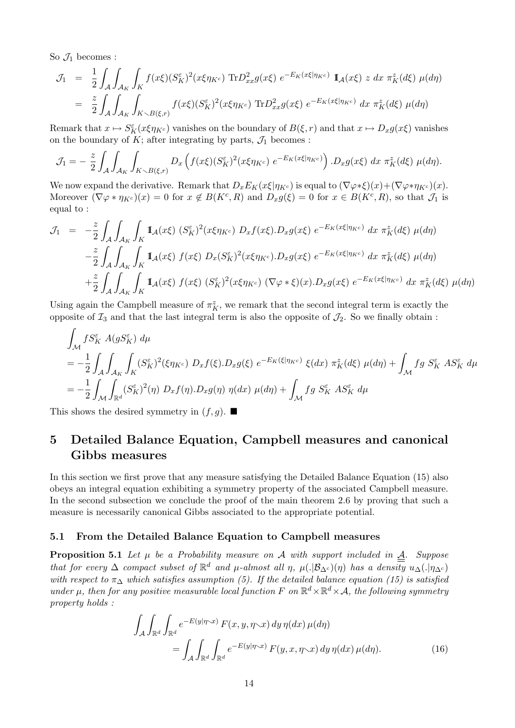So  $\mathcal{J}_1$  becomes :

$$
\mathcal{J}_1 = \frac{1}{2} \int_A \int_{\mathcal{A}_K} \int_K f(x\xi) (S_K^{\varepsilon})^2 (x\xi \eta_{K^c}) \operatorname{Tr} D_{xx}^2 g(x\xi) e^{-E_K(x\xi|\eta_{K^c})} \mathbb{1}_{\mathcal{A}}(x\xi) z dx \pi_K^z(d\xi) \mu(d\eta)
$$
  

$$
= \frac{z}{2} \int_A \int_{\mathcal{A}_K} \int_{K \backslash B(\xi,r)} f(x\xi) (S_K^{\varepsilon})^2 (x\xi \eta_{K^c}) \operatorname{Tr} D_{xx}^2 g(x\xi) e^{-E_K(x\xi|\eta_{K^c})} dx \pi_K^z(d\xi) \mu(d\eta)
$$

Remark that  $x \mapsto S_K^{\varepsilon}(x\xi\eta_{K^c})$  vanishes on the boundary of  $B(\xi, r)$  and that  $x \mapsto D_x g(x\xi)$  vanishes on the boundary of  $K$ ; after integrating by parts,  $\mathcal{J}_1$  becomes :

$$
\mathcal{J}_1 = -\frac{z}{2} \int_{\mathcal{A}} \int_{\mathcal{A}_K} \int_{K \setminus B(\xi,r)} D_x \left( f(x\xi) (S_K^{\varepsilon})^2 (x\xi \eta_{K^c}) e^{-E_K(x\xi|\eta_{K^c})} \right) \cdot D_x g(x\xi) dx \; \pi_K^z(d\xi) \; \mu(d\eta).
$$

We now expand the derivative. Remark that  $D_x E_K(x\xi|\eta_{K_c})$  is equal to  $(\nabla \varphi * \xi)(x) + (\nabla \varphi * \eta_{K_c})(x)$ . Moreover  $(\nabla \varphi * \eta_{K^c})(x) = 0$  for  $x \notin B(K^c, R)$  and  $D_x g(\xi) = 0$  for  $x \in B(K^c, R)$ , so that  $\mathcal{J}_1$  is equal to :

$$
\mathcal{J}_1 = -\frac{z}{2} \int_A \int_{\mathcal{A}_K} \int_K \mathbb{I}_{\mathcal{A}}(x\xi) \, (S_K^{\varepsilon})^2 (x\xi\eta_{K^c}) \, D_x f(x\xi) \cdot D_x g(x\xi) \, e^{-E_K(x\xi|\eta_{K^c})} \, dx \, \pi_K^z(d\xi) \, \mu(d\eta)
$$

$$
-\frac{z}{2} \int_A \int_{\mathcal{A}_K} \int_K \mathbb{I}_{\mathcal{A}}(x\xi) \, f(x\xi) \, D_x(S_K^{\varepsilon})^2 (x\xi\eta_{K^c}) \cdot D_x g(x\xi) \, e^{-E_K(x\xi|\eta_{K^c})} \, dx \, \pi_K^z(d\xi) \, \mu(d\eta)
$$

$$
+\frac{z}{2} \int_A \int_{\mathcal{A}_K} \int_K \mathbb{I}_{\mathcal{A}}(x\xi) \, f(x\xi) \, (S_K^{\varepsilon})^2 (x\xi\eta_{K^c}) \, (\nabla\varphi * \xi)(x) \cdot D_x g(x\xi) \, e^{-E_K(x\xi|\eta_{K^c})} \, dx \, \pi_K^z(d\xi) \, \mu(d\eta)
$$

Using again the Campbell measure of  $\pi_K^z$ , we remark that the second integral term is exactly the opposite of  $\mathcal{I}_3$  and that the last integral term is also the opposite of  $\mathcal{I}_2$ . So we finally obtain :

$$
\int_{\mathcal{M}} fS_K^{\varepsilon} A(gS_K^{\varepsilon}) d\mu
$$
\n
$$
= -\frac{1}{2} \int_{\mathcal{M}} \int_{A_K} \int_K (S_K^{\varepsilon})^2 (\xi \eta_{K^c}) D_x f(\xi) D_x g(\xi) e^{-E_K(\xi|\eta_{K^c})} \xi(dx) \pi_K^{\varepsilon} (d\xi) \mu(d\eta) + \int_{\mathcal{M}} f g S_K^{\varepsilon} A S_K^{\varepsilon} d\mu
$$
\n
$$
= -\frac{1}{2} \int_{\mathcal{M}} \int_{\mathbb{R}^d} (S_K^{\varepsilon})^2(\eta) D_x f(\eta) D_x g(\eta) \eta(dx) \mu(d\eta) + \int_{\mathcal{M}} f g S_K^{\varepsilon} A S_K^{\varepsilon} d\mu
$$

This shows the desired symmetry in  $(f, q)$ .

# 5 Detailed Balance Equation, Campbell measures and canonical Gibbs measures

In this section we first prove that any measure satisfying the Detailed Balance Equation (15) also obeys an integral equation exhibiting a symmetry property of the associated Campbell measure. In the second subsection we conclude the proof of the main theorem 2.6 by proving that such a measure is necessarily canonical Gibbs associated to the appropriate potential.

## 5.1 From the Detailed Balance Equation to Campbell measures

**Proposition 5.1** Let  $\mu$  be a Probability measure on A with support included in  $\mathbf{A}$ . Suppose that for every  $\Delta$  compact subset of  $\mathbb{R}^d$  and  $\mu$ -almost all  $\eta$ ,  $\mu(.|\mathcal{B}_{\Delta^c})(\eta)$  has a density  $u_{\Delta}(.|\eta_{\Delta^c})$ with respect to  $\pi_\Delta$  which satisfies assumption (5). If the detailed balance equation (15) is satisfied under  $\mu$ , then for any positive measurable local function F on  $\mathbb{R}^d \times \mathbb{R}^d \times \mathcal{A}$ , the following symmetry property holds :

$$
\int_{\mathcal{A}} \int_{\mathbb{R}^d} \int_{\mathbb{R}^d} e^{-E(y|\eta \cdot x)} F(x, y, \eta \cdot x) dy \, \eta(dx) \, \mu(d\eta)
$$
\n
$$
= \int_{\mathcal{A}} \int_{\mathbb{R}^d} \int_{\mathbb{R}^d} e^{-E(y|\eta \cdot x)} F(y, x, \eta \cdot x) dy \, \eta(dx) \, \mu(d\eta). \tag{16}
$$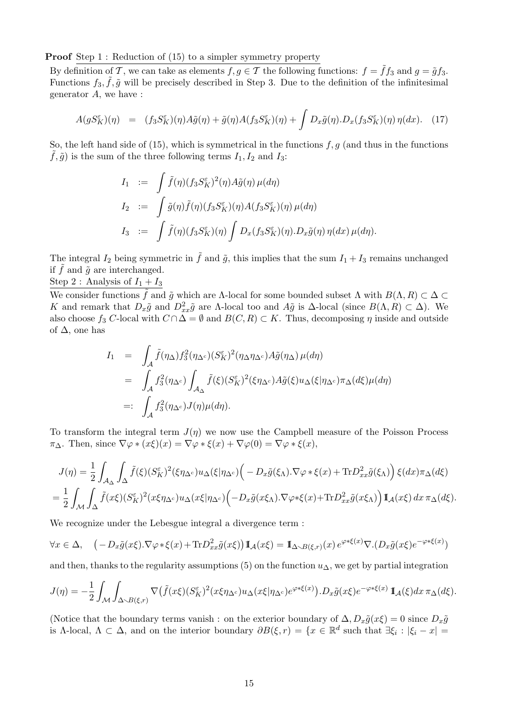**Proof** Step 1 : Reduction of (15) to a simpler symmetry property

By definition of T, we can take as elements  $f, g \in \mathcal{T}$  the following functions:  $f = \tilde{f}f_3$  and  $g = \tilde{g}f_3$ . Functions  $f_3, \tilde{f}, \tilde{g}$  will be precisely described in Step 3. Due to the definition of the infinitesimal generator  $A$ , we have :

$$
A(gS_K^{\varepsilon})(\eta) = (f_3S_K^{\varepsilon})(\eta)A\tilde{g}(\eta) + \tilde{g}(\eta)A(f_3S_K^{\varepsilon})(\eta) + \int D_x\tilde{g}(\eta) \cdot D_x(f_3S_K^{\varepsilon})(\eta)\,\eta(dx). \tag{17}
$$

So, the left hand side of (15), which is symmetrical in the functions  $f, g$  (and thus in the functions  $\tilde{f}, \tilde{g}$  is the sum of the three following terms  $I_1, I_2$  and  $I_3$ :

$$
I_1 := \int \tilde{f}(\eta)(f_3 S_K^{\varepsilon})^2(\eta) A\tilde{g}(\eta) \mu(d\eta)
$$
  
\n
$$
I_2 := \int \tilde{g}(\eta) \tilde{f}(\eta)(f_3 S_K^{\varepsilon})(\eta) A(f_3 S_K^{\varepsilon})(\eta) \mu(d\eta)
$$
  
\n
$$
I_3 := \int \tilde{f}(\eta)(f_3 S_K^{\varepsilon})(\eta) \int D_x(f_3 S_K^{\varepsilon})(\eta) . D_x \tilde{g}(\eta) \eta(dx) \mu(d\eta).
$$

The integral  $I_2$  being symmetric in  $\tilde{f}$  and  $\tilde{g}$ , this implies that the sum  $I_1 + I_3$  remains unchanged if  $\tilde{f}$  and  $\tilde{g}$  are interchanged.

Step 2 : Analysis of  $I_1 + I_3$ 

We consider functions  $\tilde{f}$  and  $\tilde{g}$  which are Λ-local for some bounded subset  $\Lambda$  with  $B(\Lambda, R) \subset \Delta$ K and remark that  $D_x\tilde{g}$  and  $D_{xx}^2\tilde{g}$  are  $\Lambda$ -local too and  $A\tilde{g}$  is  $\Delta$ -local (since  $B(\Lambda, R) \subset \Delta$ ). We also choose  $f_3$  C-local with  $C \cap \Delta = \emptyset$  and  $B(C, R) \subset K$ . Thus, decomposing  $\eta$  inside and outside of  $\Delta$ , one has

$$
I_1 = \int_A \tilde{f}(\eta_\Delta) f_3^2(\eta_{\Delta^c}) (S_K^{\varepsilon})^2(\eta_{\Delta}\eta_{\Delta^c}) A\tilde{g}(\eta_\Delta) \mu(d\eta)
$$
  
\n
$$
= \int_A f_3^2(\eta_{\Delta^c}) \int_{\mathcal{A}_{\Delta}} \tilde{f}(\xi) (S_K^{\varepsilon})^2(\xi\eta_{\Delta^c}) A\tilde{g}(\xi) u_\Delta(\xi|\eta_{\Delta^c}) \pi_\Delta(d\xi) \mu(d\eta)
$$
  
\n
$$
=: \int_A f_3^2(\eta_{\Delta^c}) J(\eta) \mu(d\eta).
$$

To transform the integral term  $J(\eta)$  we now use the Campbell measure of the Poisson Process  $\pi_{\Delta}$ . Then, since  $\nabla \varphi * (x\xi)(x) = \nabla \varphi * \xi(x) + \nabla \varphi(0) = \nabla \varphi * \xi(x),$ 

$$
J(\eta) = \frac{1}{2} \int_{\mathcal{A}_{\Delta}} \int_{\Delta} \tilde{f}(\xi) (S_{K}^{\varepsilon})^{2} (\xi \eta_{\Delta^{c}}) u_{\Delta}(\xi | \eta_{\Delta^{c}}) \Big( -D_{x} \tilde{g}(\xi_{\Lambda}) \cdot \nabla \varphi * \xi(x) + \text{Tr} D_{xx}^{2} \tilde{g}(\xi_{\Lambda}) \Big) \xi(dx) \pi_{\Delta}(d\xi)
$$
  
= 
$$
\frac{1}{2} \int_{\mathcal{M}} \int_{\Delta} \tilde{f}(x\xi) (S_{K}^{\varepsilon})^{2} (x\xi \eta_{\Delta^{c}}) u_{\Delta}(x\xi | \eta_{\Delta^{c}}) \Big( -D_{x} \tilde{g}(x\xi_{\Lambda}) \cdot \nabla \varphi * \xi(x) + \text{Tr} D_{xx}^{2} \tilde{g}(x\xi_{\Lambda}) \Big) 1\!\!1_{\mathcal{A}}(x\xi) dx \pi_{\Delta}(d\xi).
$$

We recognize under the Lebesgue integral a divergence term :

$$
\forall x \in \Delta, \quad \left( -D_x \tilde{g}(x\xi) \cdot \nabla \varphi * \xi(x) + \text{Tr} D_{xx}^2 \tilde{g}(x\xi) \right) \mathbb{I}_{\mathcal{A}}(x\xi) = \mathbb{I}_{\Delta \sim B(\xi,r)}(x) e^{\varphi * \xi(x)} \nabla \cdot (D_x \tilde{g}(x\xi) e^{-\varphi * \xi(x)})
$$

and then, thanks to the regularity assumptions (5) on the function  $u_{\Delta}$ , we get by partial integration

$$
J(\eta) = -\frac{1}{2} \int_{\mathcal{M}} \int_{\Delta \sim B(\xi,r)} \nabla \big(\tilde{f}(x\xi)(S_K^{\varepsilon})^2 (x\xi\eta_{\Delta^c}) u_{\Delta}(x\xi|\eta_{\Delta^c}) e^{\varphi * \xi(x)}\big) \cdot D_x \tilde{g}(x\xi) e^{-\varphi * \xi(x)} \mathbb{1}_{\mathcal{A}}(\xi) dx \, \pi_{\Delta}(d\xi).
$$

(Notice that the boundary terms vanish : on the exterior boundary of  $\Delta$ ,  $D_x\tilde{g}(x\xi) = 0$  since  $D_x\tilde{g}$ is Λ-local,  $\Lambda \subset \Delta$ , and on the interior boundary  $\partial B(\xi, r) = \{x \in \mathbb{R}^d \text{ such that } \exists \xi_i : |\xi_i - x| =$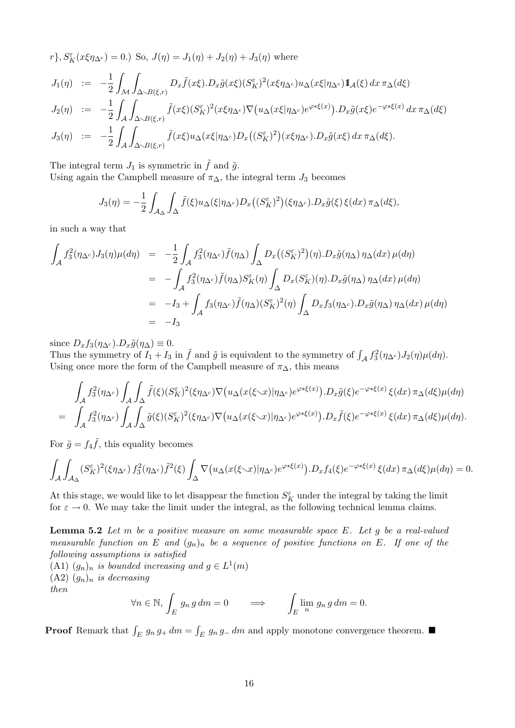$$
r\}, S_{K}^{\varepsilon}(x\xi\eta_{\Delta^{c}}) = 0.) \text{ So, } J(\eta) = J_{1}(\eta) + J_{2}(\eta) + J_{3}(\eta) \text{ where}
$$
  
\n
$$
J_{1}(\eta) := -\frac{1}{2} \int_{\mathcal{M}} \int_{\Delta\sim B(\xi,r)} D_{x}\tilde{f}(x\xi) \cdot D_{x}\tilde{g}(x\xi) (S_{K}^{\varepsilon})^{2} (x\xi\eta_{\Delta^{c}}) u_{\Delta}(x\xi|\eta_{\Delta^{c}}) \mathbf{I}_{\mathcal{A}}(\xi) dx \pi_{\Delta}(d\xi)
$$
  
\n
$$
J_{2}(\eta) := -\frac{1}{2} \int_{\mathcal{A}} \int_{\Delta\sim B(\xi,r)} \tilde{f}(x\xi) (S_{K}^{\varepsilon})^{2} (x\xi\eta_{\Delta^{c}}) \nabla (u_{\Delta}(x\xi|\eta_{\Delta^{c}}) e^{\varphi*\xi(x)}) \cdot D_{x}\tilde{g}(x\xi) e^{-\varphi*\xi(x)} dx \pi_{\Delta}(d\xi)
$$
  
\n
$$
J_{3}(\eta) := -\frac{1}{2} \int_{\mathcal{A}} \int_{\Delta\sim B(\xi,r)} \tilde{f}(x\xi) u_{\Delta}(x\xi|\eta_{\Delta^{c}}) D_{x}((S_{K}^{\varepsilon})^{2}) (x\xi\eta_{\Delta^{c}}) \cdot D_{x}\tilde{g}(x\xi) dx \pi_{\Delta}(d\xi).
$$

The integral term  $J_1$  is symmetric in  $\tilde{f}$  and  $\tilde{g}$ . Using again the Campbell measure of  $\pi_{\Delta}$ , the integral term  $J_3$  becomes

$$
J_3(\eta) = -\frac{1}{2} \int_{\mathcal{A}_{\Delta}} \int_{\Delta} \tilde{f}(\xi) u_{\Delta}(\xi | \eta_{\Delta^c}) D_x((S_K^{\varepsilon})^2) (\xi \eta_{\Delta^c}) \cdot D_x \tilde{g}(\xi) \xi(dx) \, \pi_{\Delta}(d\xi),
$$

in such a way that

$$
\int_{\mathcal{A}} f_3^2(\eta_{\Delta^c}) J_3(\eta) \mu(d\eta) = -\frac{1}{2} \int_{\mathcal{A}} f_3^2(\eta_{\Delta^c}) \tilde{f}(\eta_{\Delta}) \int_{\Delta} D_x((S_K^{\varepsilon})^2)(\eta) . D_x \tilde{g}(\eta_{\Delta}) \eta_{\Delta}(dx) \mu(d\eta)
$$
  
\n
$$
= -\int_{\mathcal{A}} f_3^2(\eta_{\Delta^c}) \tilde{f}(\eta_{\Delta}) S_K^{\varepsilon}(\eta) \int_{\Delta} D_x(S_K^{\varepsilon})(\eta) . D_x \tilde{g}(\eta_{\Delta}) \eta_{\Delta}(dx) \mu(d\eta)
$$
  
\n
$$
= -I_3 + \int_{\mathcal{A}} f_3(\eta_{\Delta^c}) \tilde{f}(\eta_{\Delta}) (S_K^{\varepsilon})^2(\eta) \int_{\Delta} D_x f_3(\eta_{\Delta^c}) . D_x \tilde{g}(\eta_{\Delta}) \eta_{\Delta}(dx) \mu(d\eta)
$$
  
\n
$$
= -I_3
$$

since  $D_x f_3(\eta_{\Delta^c}) \cdot D_x \tilde{g}(\eta_{\Delta}) \equiv 0$ .

Thus the symmetry of  $I_1 + I_3$  in  $\tilde{f}$  and  $\tilde{g}$  is equivalent to the symmetry of  $\int_A f_3^2(\eta_{\Delta^c}) J_2(\eta) \mu(d\eta)$ . Using once more the form of the Campbell measure of  $\pi_{\Delta}$ , this means

$$
\int_{\mathcal{A}} f_3^2(\eta_{\Delta^c}) \int_{\mathcal{A}} \int_{\Delta} \tilde{f}(\xi) (S_K^{\varepsilon})^2(\xi \eta_{\Delta^c}) \nabla (u_{\Delta}(x(\xi \cdot x)) \eta_{\Delta^c}) e^{\varphi * \xi(x)}) \cdot D_x \tilde{g}(\xi) e^{-\varphi * \xi(x)} \xi(dx) \pi_{\Delta}(d\xi) \mu(d\eta)
$$
\n
$$
= \int_{\mathcal{A}} f_3^2(\eta_{\Delta^c}) \int_{\mathcal{A}} \int_{\Delta} \tilde{g}(\xi) (S_K^{\varepsilon})^2(\xi \eta_{\Delta^c}) \nabla (u_{\Delta}(x(\xi \cdot x)) \eta_{\Delta^c}) e^{\varphi * \xi(x)}) \cdot D_x \tilde{f}(\xi) e^{-\varphi * \xi(x)} \xi(dx) \pi_{\Delta}(d\xi) \mu(d\eta).
$$

For  $\tilde{g} = f_4 \tilde{f}$ , this equality becomes

$$
\int_{\mathcal{A}} \int_{\mathcal{A}_{\Delta}} (\mathcal{S}_{K}^{\varepsilon})^{2} (\xi \eta_{\Delta^{c}}) f_{3}^{2} (\eta_{\Delta^{c}}) \tilde{f}^{2} (\xi) \int_{\Delta} \nabla \big( u_{\Delta}(x(\xi \smallsetminus x) | \eta_{\Delta^{c}}) e^{\varphi * \xi(x)} \big) . D_{x} f_{4}(\xi) e^{-\varphi * \xi(x)} \xi(dx) \pi_{\Delta}(d\xi) \mu(d\eta) = 0.
$$

At this stage, we would like to let disappear the function  $S_K^{\varepsilon}$  under the integral by taking the limit for  $\varepsilon \to 0$ . We may take the limit under the integral, as the following technical lemma claims.

**Lemma 5.2** Let  $m$  be a positive measure on some measurable space  $E$ . Let  $g$  be a real-valued measurable function on E and  $(g_n)_n$  be a sequence of positive functions on E. If one of the following assumptions is satisfied

(A1)  $(g_n)_n$  is bounded increasing and  $g \in L^1(m)$  $(A2)$   $(g_n)_n$  is decreasing then

$$
\forall n \in \mathbb{N}, \int_{E} g_n g \, dm = 0 \qquad \Longrightarrow \qquad \int_{E} \lim_{n} g_n g \, dm = 0.
$$

**Proof** Remark that  $\int_E g_n g_+ dm = \int_E g_n g_- dm$  and apply monotone convergence theorem.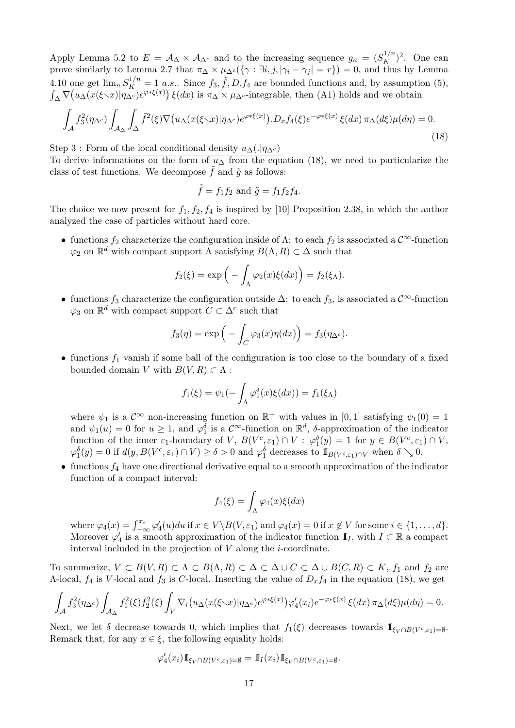Apply Lemma 5.2 to  $E = A_{\Delta} \times A_{\Delta^c}$  and to the increasing sequence  $g_n = (S_K^{1/n})^2$ . One can prove similarly to Lemma 2.7 that  $\pi_{\Delta} \times \mu_{\Delta^c}(\{\gamma : \exists i, j, |\gamma_i - \gamma_j| = r\}) = 0$ , and thus by Lemma 4.10 one get  $\lim_{n} S_K^{1/n} = 1$  *a.s.*. Since  $f_3$ ,  $\tilde{f}$ ,  $D$ .  $f_4$  are bounded functions and, by assumption (5),  $\int_{\Delta} \nabla (u_{\Delta}(x(\xi \setminus x)) \eta_{\Delta^c}) e^{\varphi * \xi(x)}) \xi(dx)$  is  $\pi_{\Delta} \times \mu_{\Delta^c}$ -integrable, then (A1) holds and we obtain

$$
\int_{\mathcal{A}} f_3^2(\eta_{\Delta^c}) \int_{\mathcal{A}_{\Delta}} \int_{\Delta} \tilde{f}^2(\xi) \nabla \big( u_{\Delta}(x(\xi \cdot x)) | \eta_{\Delta^c}) e^{\varphi * \xi(x)} \big) . D_x f_4(\xi) e^{-\varphi * \xi(x)} \, \xi(dx) \, \pi_{\Delta}(d\xi) \mu(d\eta) = 0. \tag{18}
$$

Step 3 : Form of the local conditional density  $u_{\Delta}(.|\eta_{\Delta^c})$ 

To derive informations on the form of  $u<sub>\Delta</sub>$  from the equation (18), we need to particularize the class of test functions. We decompose  $\tilde{f}$  and  $\tilde{g}$  as follows:

$$
\tilde{f} = f_1 f_2 \text{ and } \tilde{g} = f_1 f_2 f_4.
$$

The choice we now present for  $f_1, f_2, f_4$  is inspired by [10] Proposition 2.38, in which the author analyzed the case of particles without hard core.

• functions  $f_2$  characterize the configuration inside of  $\Lambda$ : to each  $f_2$  is associated a  $\mathcal{C}^{\infty}$ -function  $\varphi_2$  on  $\mathbb{R}^d$  with compact support  $\Lambda$  satisfying  $B(\Lambda, R) \subset \Delta$  such that

$$
f_2(\xi) = \exp\Big(-\int_{\Lambda} \varphi_2(x)\xi(dx)\Big) = f_2(\xi_{\Lambda}).
$$

• functions  $f_3$  characterize the configuration outside  $\Delta$ : to each  $f_3$ , is associated a  $\mathcal{C}^{\infty}$ -function  $\varphi_3$  on  $\mathbb{R}^d$  with compact support  $C \subset \Delta^c$  such that

$$
f_3(\eta) = \exp\left(-\int_C \varphi_3(x)\eta(dx)\right) = f_3(\eta_{\Delta^c}).
$$

• functions  $f_1$  vanish if some ball of the configuration is too close to the boundary of a fixed bounded domain V with  $B(V, R) \subset \Lambda$ :

$$
f_1(\xi) = \psi_1(-\int_{\Lambda} \varphi_1^{\delta}(x)\xi(dx)) = f_1(\xi_{\Lambda})
$$

where  $\psi_1$  is a  $\mathcal{C}^{\infty}$  non-increasing function on  $\mathbb{R}^+$  with values in [0, 1] satisfying  $\psi_1(0) = 1$ and  $\psi_1(u) = 0$  for  $u \geq 1$ , and  $\varphi_1^{\delta}$  is a  $\mathcal{C}^{\infty}$ -function on  $\mathbb{R}^d$ ,  $\delta$ -approximation of the indicator function of the inner  $\varepsilon_1$ -boundary of V,  $B(V^c, \varepsilon_1) \cap V : \varphi_1^{\delta}(y) = 1$  for  $y \in B(V^c, \varepsilon_1) \cap V$ ,  $\varphi_1^{\delta}(y) = 0$  if  $d(y, B(V^c, \varepsilon_1) \cap V) \ge \delta > 0$  and  $\varphi_1^{\delta}$  decreases to  $\mathbb{I}_{B(V^c, \varepsilon_1) \cap V}$  when  $\delta \searrow 0$ .

• functions  $f_4$  have one directional derivative equal to a smooth approximation of the indicator function of a compact interval:

$$
f_4(\xi) = \int_{\Lambda} \varphi_4(x)\xi(dx)
$$

where  $\varphi_4(x) = \int_{-\infty}^{x_i} \varphi'_4(u) du$  if  $x \in V \setminus B(V, \varepsilon_1)$  and  $\varphi_4(x) = 0$  if  $x \notin V$  for some  $i \in \{1, ..., d\}$ . Moreover  $\varphi'_4$  is a smooth approximation of the indicator function  $\mathbb{I}_I$ , with  $I \subset \mathbb{R}$  a compact interval included in the projection of  $V$  along the  $i$ -coordinate.

To summerize,  $V \subset B(V, R) \subset \Lambda \subset B(\Lambda, R) \subset \Delta \subset \Delta \cup C \subset \Delta \cup B(C, R) \subset K$ ,  $f_1$  and  $f_2$  are Λ-local,  $f_4$  is V-local and  $f_3$  is C-local. Inserting the value of  $D_x f_4$  in the equation (18), we get

$$
\int_{\mathcal{A}} f_3^2(\eta_{\Delta^c}) \int_{\mathcal{A}_{\Delta}} f_1^2(\xi) f_2^2(\xi) \int_V \nabla_i \big( u_{\Delta}(x(\xi \cdot x)) \eta_{\Delta^c} \big) e^{\varphi * \xi(x)} \big) \varphi_4'(x_i) e^{-\varphi * \xi(x)} \xi(dx) \pi_{\Delta}(d\xi) \mu(d\eta) = 0.
$$

Next, we let  $\delta$  decrease towards 0, which implies that  $f_1(\xi)$  decreases towards  $\mathbb{I}_{\xi_V \cap B(V^c, \varepsilon_1) = \emptyset}$ . Remark that, for any  $x \in \xi$ , the following equality holds:

$$
\varphi_4'(x_i) 1\!\!1_{\xi_V \cap B(V^c, \varepsilon_1) = \emptyset} = 1\!\!1_I(x_i) 1\!\!1_{\xi_V \cap B(V^c, \varepsilon_1) = \emptyset}.
$$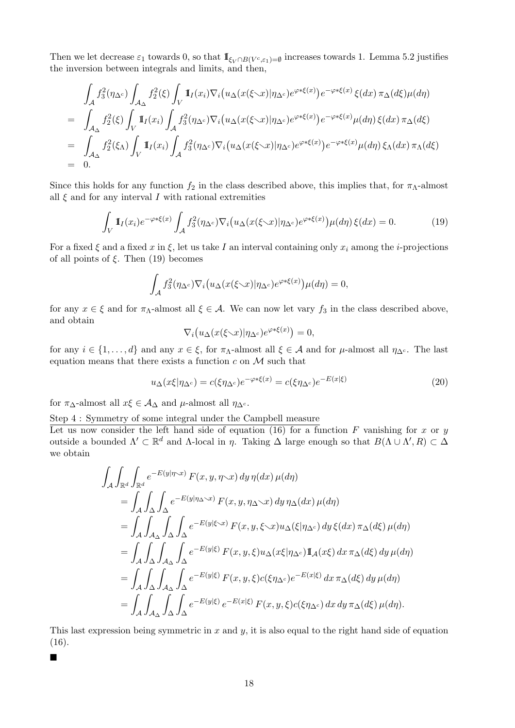Then we let decrease  $\varepsilon_1$  towards 0, so that  $\mathbb{I}_{\xi_V \cap B(V^c, \varepsilon_1) = \emptyset}$  increases towards 1. Lemma 5.2 justifies the inversion between integrals and limits, and then,

$$
\int_{\mathcal{A}} f_3^2(\eta_{\Delta^c}) \int_{\mathcal{A}_{\Delta}} f_2^2(\xi) \int_V \mathbb{I}_I(x_i) \nabla_i \big( u_{\Delta}(x(\xi \searrow x) | \eta_{\Delta^c}) e^{\varphi * \xi(x)} \big) e^{-\varphi * \xi(x)} \xi(dx) \pi_{\Delta}(d\xi) \mu(d\eta)
$$
\n
$$
= \int_{\mathcal{A}_{\Delta}} f_2^2(\xi) \int_V \mathbb{I}_I(x_i) \int_{\mathcal{A}} f_3^2(\eta_{\Delta^c}) \nabla_i \big( u_{\Delta}(x(\xi \searrow x) | \eta_{\Delta^c}) e^{\varphi * \xi(x)} \big) e^{-\varphi * \xi(x)} \mu(d\eta) \xi(dx) \pi_{\Delta}(d\xi)
$$
\n
$$
= \int_{\mathcal{A}_{\Delta}} f_2^2(\xi_{\Delta}) \int_V \mathbb{I}_I(x_i) \int_{\mathcal{A}} f_3^2(\eta_{\Delta^c}) \nabla_i \big( u_{\Delta}(x(\xi \searrow x) | \eta_{\Delta^c}) e^{\varphi * \xi(x)} \big) e^{-\varphi * \xi(x)} \mu(d\eta) \xi_{\Delta}(dx) \pi_{\Delta}(d\xi)
$$
\n
$$
= 0.
$$

Since this holds for any function  $f_2$  in the class described above, this implies that, for  $\pi_{\Lambda}$ -almost all  $\xi$  and for any interval I with rational extremities

$$
\int_{V} \mathbb{I}_{I}(x_{i}) e^{-\varphi * \xi(x)} \int_{\mathcal{A}} f_{3}^{2}(\eta_{\Delta^{c}}) \nabla_{i} \big( u_{\Delta}(x(\xi \smallsetminus x) | \eta_{\Delta^{c}}) e^{\varphi * \xi(x)} \big) \mu(d\eta) \, \xi(dx) = 0. \tag{19}
$$

For a fixed  $\xi$  and a fixed x in  $\xi$ , let us take I an interval containing only  $x_i$  among the i-projections of all points of  $\xi$ . Then (19) becomes

$$
\int_{\mathcal{A}} f_3^2(\eta_{\Delta^c}) \nabla_i \big( u_{\Delta}(x(\xi \setminus x) | \eta_{\Delta^c}) e^{\varphi * \xi(x)} \big) \mu(d\eta) = 0,
$$

for any  $x \in \xi$  and for  $\pi_{\Lambda}$ -almost all  $\xi \in \mathcal{A}$ . We can now let vary  $f_3$  in the class described above, and obtain

$$
\nabla_i \big( u_\Delta(x(\xi \setminus x) | \eta_{\Delta^c}) e^{\varphi * \xi(x)} \big) = 0,
$$

for any  $i \in \{1, \ldots, d\}$  and any  $x \in \xi$ , for  $\pi_{\Lambda}$ -almost all  $\xi \in \mathcal{A}$  and for  $\mu$ -almost all  $\eta_{\Delta^c}$ . The last equation means that there exists a function c on  $\mathcal M$  such that

$$
u_{\Delta}(x\xi|\eta_{\Delta^c}) = c(\xi\eta_{\Delta^c})e^{-\varphi*\xi(x)} = c(\xi\eta_{\Delta^c})e^{-E(x|\xi)}
$$
\n(20)

for  $\pi_{\Delta}$ -almost all  $x\xi \in A_{\Delta}$  and  $\mu$ -almost all  $\eta_{\Delta}$ c.

Step 4 : Symmetry of some integral under the Campbell measure

Let us now consider the left hand side of equation (16) for a function F vanishing for x or y outside a bounded  $\Lambda' \subset \mathbb{R}^d$  and  $\Lambda$ -local in η. Taking  $\Delta$  large enough so that  $B(\Lambda \cup \Lambda', R) \subset \Delta$ we obtain

$$
\int_{\mathcal{A}} \int_{\mathbb{R}^d} \int_{\mathbb{R}^d} e^{-E(y|\eta \cdot x)} F(x, y, \eta \cdot x) dy \eta(dx) \mu(d\eta)
$$
\n
$$
= \int_{\mathcal{A}} \int_{\Delta} \int_{\Delta} e^{-E(y|\eta \Delta \cdot x)} F(x, y, \eta \Delta \cdot x) dy \eta_{\Delta}(dx) \mu(d\eta)
$$
\n
$$
= \int_{\mathcal{A}} \int_{\mathcal{A}} \int_{\Delta} \int_{\Delta} e^{-E(y|\xi \cdot x)} F(x, y, \xi \cdot x) u_{\Delta}(\xi|\eta_{\Delta^c}) dy \xi(dx) \pi_{\Delta}(d\xi) \mu(d\eta)
$$
\n
$$
= \int_{\mathcal{A}} \int_{\Delta} \int_{\mathcal{A}_{\Delta}} \int_{\Delta} e^{-E(y|\xi)} F(x, y, \xi) u_{\Delta}(x\xi|\eta_{\Delta^c}) \mathbb{1}_{\mathcal{A}}(x\xi) dx \pi_{\Delta}(d\xi) dy \mu(d\eta)
$$
\n
$$
= \int_{\mathcal{A}} \int_{\Delta} \int_{\mathcal{A}_{\Delta}} \int_{\Delta} e^{-E(y|\xi)} F(x, y, \xi) c(\xi \eta_{\Delta^c}) e^{-E(x|\xi)} dx \pi_{\Delta}(d\xi) dy \mu(d\eta)
$$
\n
$$
= \int_{\mathcal{A}} \int_{\mathcal{A}_{\Delta}} \int_{\Delta} \int_{\Delta} e^{-E(y|\xi)} e^{-E(x|\xi)} F(x, y, \xi) c(\xi \eta_{\Delta^c}) dx dy \pi_{\Delta}(d\xi) \mu(d\eta).
$$

This last expression being symmetric in  $x$  and  $y$ , it is also equal to the right hand side of equation (16).

 $\blacksquare$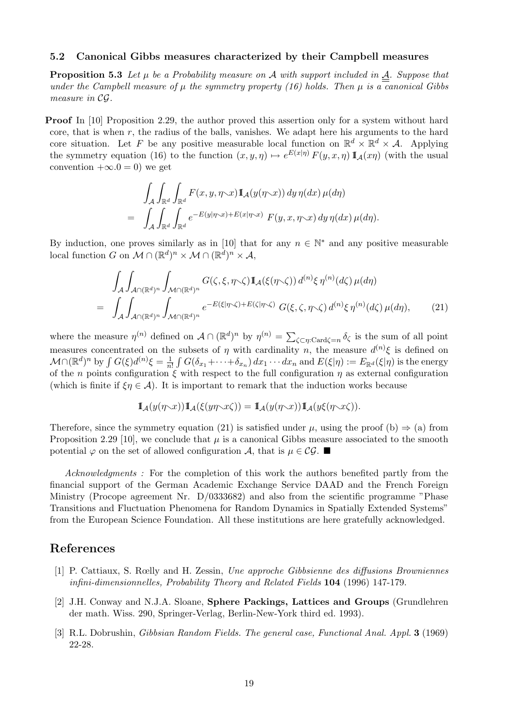#### 5.2 Canonical Gibbs measures characterized by their Campbell measures

**Proposition 5.3** Let  $\mu$  be a Probability measure on A with support included in  $\underline{A}$ . Suppose that under the Campbell measure of  $\mu$  the symmetry property (16) holds. Then  $\mu$  is a canonical Gibbs measure in CG.

**Proof** In [10] Proposition 2.29, the author proved this assertion only for a system without hard core, that is when  $r$ , the radius of the balls, vanishes. We adapt here his arguments to the hard core situation. Let F be any positive measurable local function on  $\mathbb{R}^d \times \mathbb{R}^d \times \mathcal{A}$ . Applying the symmetry equation (16) to the function  $(x, y, \eta) \mapsto e^{E(x|\eta)} F(y, x, \eta) \mathbb{I}_{\mathcal{A}}(x\eta)$  (with the usual convention  $+\infty.0 = 0$ ) we get

$$
\int_{\mathcal{A}} \int_{\mathbb{R}^d} \int_{\mathbb{R}^d} F(x, y, \eta \sim x) \mathbb{I}_{\mathcal{A}}(y(\eta \sim x)) dy \, \eta(dx) \, \mu(d\eta) \n= \int_{\mathcal{A}} \int_{\mathbb{R}^d} \int_{\mathbb{R}^d} e^{-E(y|\eta \sim x) + E(x|\eta \sim x)} F(y, x, \eta \sim x) dy \, \eta(dx) \, \mu(d\eta).
$$

By induction, one proves similarly as in [10] that for any  $n \in \mathbb{N}^*$  and any positive measurable local function G on  $\mathcal{M} \cap (\mathbb{R}^d)^n \times \mathcal{M} \cap (\mathbb{R}^d)^n \times \mathcal{A}$ ,

$$
\int_{\mathcal{A}} \int_{\mathcal{A} \cap (\mathbb{R}^d)^n} \int_{\mathcal{M} \cap (\mathbb{R}^d)^n} G(\zeta, \xi, \eta \times \zeta) \mathbb{I}_{\mathcal{A}}(\xi(\eta \times \zeta)) d^{(n)} \xi \eta^{(n)}(d\zeta) \mu(d\eta)
$$
\n
$$
= \int_{\mathcal{A}} \int_{\mathcal{A} \cap (\mathbb{R}^d)^n} \int_{\mathcal{M} \cap (\mathbb{R}^d)^n} e^{-E(\xi|\eta \times \zeta) + E(\zeta|\eta \times \zeta)} G(\xi, \zeta, \eta \times \zeta) d^{(n)} \xi \eta^{(n)}(d\zeta) \mu(d\eta), \tag{21}
$$

where the measure  $\eta^{(n)}$  defined on  $\mathcal{A} \cap (\mathbb{R}^d)^n$  by  $\eta^{(n)} = \sum_{\zeta \subset \eta : \text{Card}\zeta = n} \delta_{\zeta}$  is the sum of all point measures concentrated on the subsets of  $\eta$  with cardinality n, the measure  $d^{(n)}\xi$  is defined on  $\mathcal{M} \cap (\mathbb{R}^d)^n$  by  $\int G(\xi) d^{(n)} \xi = \frac{1}{n}$  $\frac{1}{n!} \int G(\delta_{x_1} + \cdots + \delta_{x_n}) dx_1 \cdots dx_n$  and  $E(\xi|\eta) := E_{\mathbb{R}^d}(\xi|\eta)$  is the energy of the n points configuration  $\xi$  with respect to the full configuration  $\eta$  as external configuration (which is finite if  $\xi \eta \in \mathcal{A}$ ). It is important to remark that the induction works because

$$
\mathbb I_{\mathcal A}(y(\eta\mathopen{\smallsetminus} x))\mathbb I_{\mathcal A}(\xi(y\eta\mathopen{\smallsetminus} x\zeta))=\mathbb I_{\mathcal A}(y(\eta\mathopen{\smallsetminus} x))\mathbb I_{\mathcal A}(y\xi(\eta\mathopen{\smallsetminus} x\zeta)).
$$

Therefore, since the symmetry equation (21) is satisfied under  $\mu$ , using the proof (b)  $\Rightarrow$  (a) from Proposition 2.29 [10], we conclude that  $\mu$  is a canonical Gibbs measure associated to the smooth potential  $\varphi$  on the set of allowed configuration A, that is  $\mu \in \mathcal{CG}$ .

Acknowledgments: For the completion of this work the authors benefited partly from the financial support of the German Academic Exchange Service DAAD and the French Foreign Ministry (Procope agreement Nr. D/0333682) and also from the scientific programme "Phase Transitions and Fluctuation Phenomena for Random Dynamics in Spatially Extended Systems" from the European Science Foundation. All these institutions are here gratefully acknowledged.

## References

- [1] P. Cattiaux, S. Rœlly and H. Zessin, Une approche Gibbsienne des diffusions Browniennes infini-dimensionnelles, Probability Theory and Related Fields 104 (1996) 147-179.
- [2] J.H. Conway and N.J.A. Sloane, Sphere Packings, Lattices and Groups (Grundlehren der math. Wiss. 290, Springer-Verlag, Berlin-New-York third ed. 1993).
- [3] R.L. Dobrushin, Gibbsian Random Fields. The general case, Functional Anal. Appl. 3 (1969) 22-28.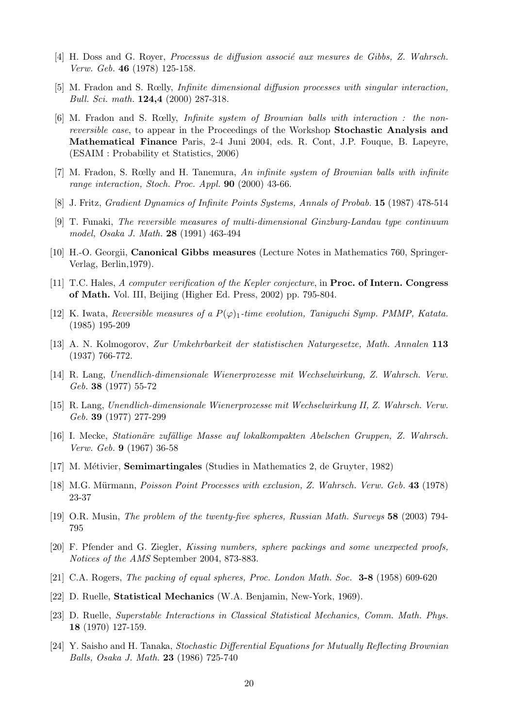- [4] H. Doss and G. Royer, *Processus de diffusion associé aux mesures de Gibbs, Z. Wahrsch.* Verw. Geb. 46 (1978) 125-158.
- [5] M. Fradon and S. Rœlly, Infinite dimensional diffusion processes with singular interaction, Bull. Sci. math. 124,4 (2000) 287-318.
- [6] M. Fradon and S. Rœlly, Infinite system of Brownian balls with interaction : the nonreversible case, to appear in the Proceedings of the Workshop Stochastic Analysis and Mathematical Finance Paris, 2-4 Juni 2004, eds. R. Cont, J.P. Fouque, B. Lapeyre, (ESAIM : Probability et Statistics, 2006)
- [7] M. Fradon, S. Rœlly and H. Tanemura, An infinite system of Brownian balls with infinite range interaction, Stoch. Proc. Appl. 90 (2000) 43-66.
- [8] J. Fritz, Gradient Dynamics of Infinite Points Systems, Annals of Probab. 15 (1987) 478-514
- [9] T. Funaki, The reversible measures of multi-dimensional Ginzburg-Landau type continuum model, Osaka J. Math. 28 (1991) 463-494
- [10] H.-O. Georgii, Canonical Gibbs measures (Lecture Notes in Mathematics 760, Springer-Verlag, Berlin,1979).
- [11] T.C. Hales, A computer verification of the Kepler conjecture, in **Proc. of Intern. Congress** of Math. Vol. III, Beijing (Higher Ed. Press, 2002) pp. 795-804.
- [12] K. Iwata, Reversible measures of a  $P(\varphi)_1$ -time evolution, Taniguchi Symp. PMMP, Katata. (1985) 195-209
- [13] A. N. Kolmogorov, Zur Umkehrbarkeit der statistischen Naturgesetze, Math. Annalen 113 (1937) 766-772.
- [14] R. Lang, Unendlich-dimensionale Wienerprozesse mit Wechselwirkung, Z. Wahrsch. Verw. Geb. 38 (1977) 55-72
- [15] R. Lang, Unendlich-dimensionale Wienerprozesse mit Wechselwirkung II, Z. Wahrsch. Verw. Geb. 39 (1977) 277-299
- [16] I. Mecke, Station¨are zuf¨allige Masse auf lokalkompakten Abelschen Gruppen, Z. Wahrsch. Verw. Geb. 9 (1967) 36-58
- [17] M. Métivier, **Semimartingales** (Studies in Mathematics 2, de Gruyter, 1982)
- [18] M.G. Mürmann, Poisson Point Processes with exclusion, Z. Wahrsch. Verw. Geb. 43 (1978) 23-37
- [19] O.R. Musin, The problem of the twenty-five spheres, Russian Math. Surveys 58 (2003) 794- 795
- [20] F. Pfender and G. Ziegler, Kissing numbers, sphere packings and some unexpected proofs, Notices of the AMS September 2004, 873-883.
- [21] C.A. Rogers, The packing of equal spheres, Proc. London Math. Soc. 3-8 (1958) 609-620
- [22] D. Ruelle, Statistical Mechanics (W.A. Benjamin, New-York, 1969).
- [23] D. Ruelle, Superstable Interactions in Classical Statistical Mechanics, Comm. Math. Phys. 18 (1970) 127-159.
- [24] Y. Saisho and H. Tanaka, Stochastic Differential Equations for Mutually Reflecting Brownian Balls, Osaka J. Math. 23 (1986) 725-740